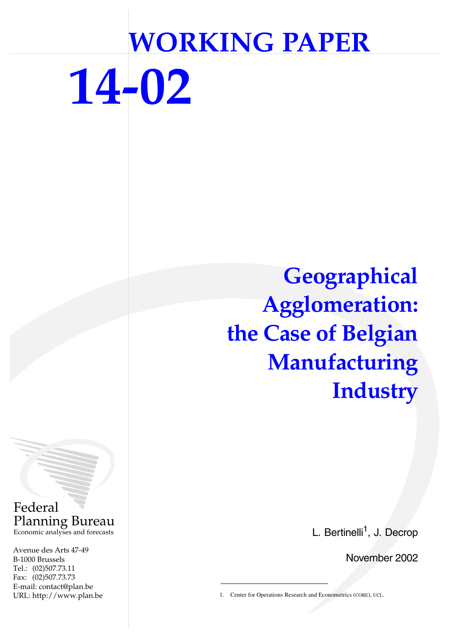# **WORKING PAPER 14-02**

**Geographical Agglomeration: the Case of Belgian Manufacturing Industry**

L. Bertinelli<sup>1</sup>, J. Decrop

November 2002

1. Center for Operations Research and Econometrics (CORE), UCL.

Federal Planning Bureau Economic analyses and forecasts

Avenue des Arts 47-49 B-1000 Brussels Tel.: (02)507.73.11 Fax: (02)507.73.73 E-mail: contact@plan.be URL: http://www.plan.be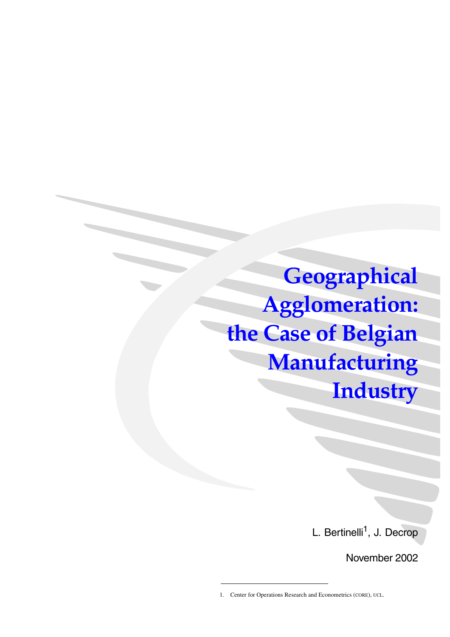**Geographical Agglomeration: the Case of Belgian Manufacturing Industry**

L. Bertinelli<sup>1</sup>, J. Decrop

November 2002

<sup>1.</sup> Center for Operations Research and Econometrics (CORE), UCL.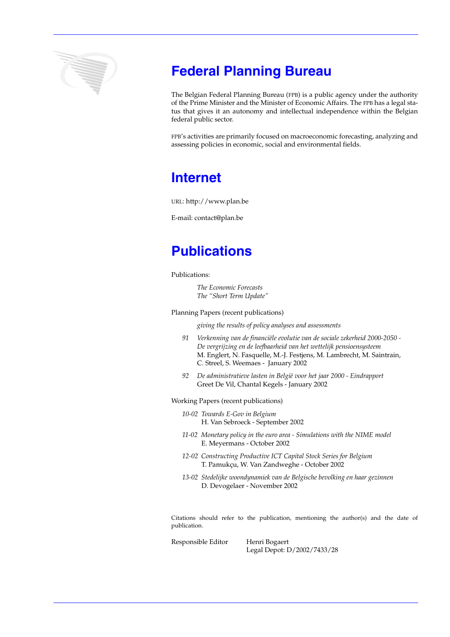

# **Federal Planning Bureau**

The Belgian Federal Planning Bureau (FPB) is a public agency under the authority of the Prime Minister and the Minister of Economic Affairs. The FPB has a legal status that gives it an autonomy and intellectual independence within the Belgian federal public sector.

FPB's activities are primarily focused on macroeconomic forecasting, analyzing and assessing policies in economic, social and environmental fields.

# **Internet**

URL: http://www.plan.be

E-mail: contact@plan.be

# **Publications**

Publications:

*The Economic Forecasts The "Short Term Update"*

Planning Papers (recent publications)

*giving the results of policy analyses and assessments*

- *91 Verkenning van de financiële evolutie van de sociale zekerheid 2000-2050 De vergrijzing en de leefbaarheid van het wettelijk pensioensysteem* M. Englert, N. Fasquelle, M.-J. Festjens, M. Lambrecht, M. Saintrain, C. Streel, S. Weemaes - January 2002
- *92 De administratieve lasten in België voor het jaar 2000 Eindrapport* Greet De Vil, Chantal Kegels - January 2002

Working Papers (recent publications)

- *10-02 Towards E-Gov in Belgium* H. Van Sebroeck - September 2002
- *11-02 Monetary policy in the euro area Simulations with the NIME model* E. Meyermans - October 2002
- *12-02 Constructing Productive ICT Capital Stock Series for Belgium* T. Pamukçu, W. Van Zandweghe - October 2002
- *13-02 Stedelijke woondynamiek van de Belgische bevolking en haar gezinnen* D. Devogelaer - November 2002

Citations should refer to the publication, mentioning the author(s) and the date of publication.

Responsible Editor Henri Bogaert Legal Depot: D/2002/7433/28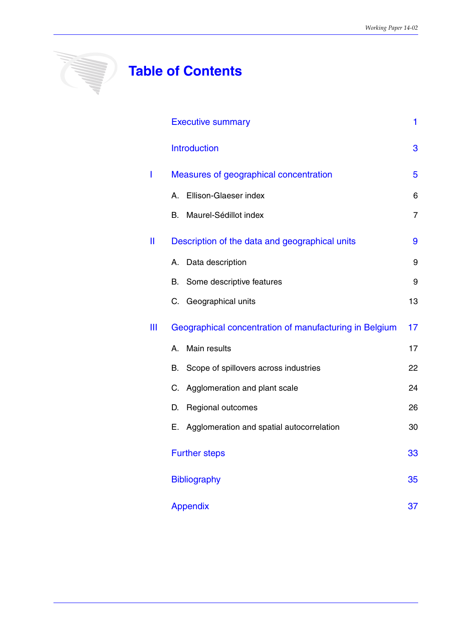# **SANARA SER**

# **Table of Contents**

|    | <b>Executive summary</b>                               | 1  |
|----|--------------------------------------------------------|----|
|    | <b>Introduction</b>                                    | 3  |
|    | Measures of geographical concentration                 | 5  |
|    | Ellison-Glaeser index<br>А.                            | 6  |
|    | Maurel-Sédillot index<br>В.                            | 7  |
| II | Description of the data and geographical units         | 9  |
|    | Data description<br>А.                                 | 9  |
|    | Some descriptive features<br>В.                        | 9  |
|    | C. Geographical units                                  | 13 |
| Ш  | Geographical concentration of manufacturing in Belgium | 17 |
|    | Main results<br>A.                                     | 17 |
|    | Scope of spillovers across industries<br>В.            | 22 |
|    | Agglomeration and plant scale<br>C.                    | 24 |
|    | Regional outcomes<br>D.                                | 26 |
|    | Agglomeration and spatial autocorrelation<br>Е.        | 30 |
|    | <b>Further steps</b>                                   | 33 |
|    | <b>Bibliography</b>                                    | 35 |
|    | <b>Appendix</b>                                        | 37 |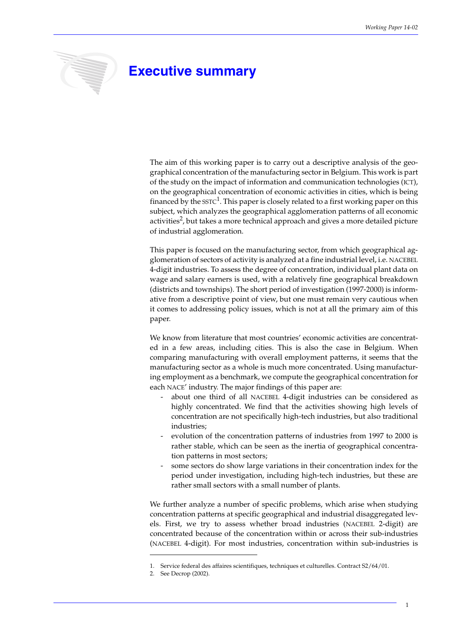# **Executive summary**

The aim of this working paper is to carry out a descriptive analysis of the geographical concentration of the manufacturing sector in Belgium. This work is part of the study on the impact of information and communication technologies (ICT), on the geographical concentration of economic activities in cities, which is being financed by the  $SSTC<sup>1</sup>$ . This paper is closely related to a first working paper on this subject, which analyzes the geographical agglomeration patterns of all economic activities $^2$ , but takes a more technical approach and gives a more detailed picture of industrial agglomeration.

This paper is focused on the manufacturing sector, from which geographical agglomeration of sectors of activity is analyzed at a fine industrial level, i.e. NACEBEL 4-digit industries. To assess the degree of concentration, individual plant data on wage and salary earners is used, with a relatively fine geographical breakdown (districts and townships). The short period of investigation (1997-2000) is informative from a descriptive point of view, but one must remain very cautious when it comes to addressing policy issues, which is not at all the primary aim of this paper.

We know from literature that most countries' economic activities are concentrated in a few areas, including cities. This is also the case in Belgium. When comparing manufacturing with overall employment patterns, it seems that the manufacturing sector as a whole is much more concentrated. Using manufacturing employment as a benchmark, we compute the geographical concentration for each NACE' industry. The major findings of this paper are:

- about one third of all NACEBEL 4-digit industries can be considered as highly concentrated. We find that the activities showing high levels of concentration are not specifically high-tech industries, but also traditional industries;
- evolution of the concentration patterns of industries from 1997 to 2000 is rather stable, which can be seen as the inertia of geographical concentration patterns in most sectors;
- some sectors do show large variations in their concentration index for the period under investigation, including high-tech industries, but these are rather small sectors with a small number of plants.

We further analyze a number of specific problems, which arise when studying concentration patterns at specific geographical and industrial disaggregated levels. First, we try to assess whether broad industries (NACEBEL 2-digit) are concentrated because of the concentration within or across their sub-industries (NACEBEL 4-digit). For most industries, concentration within sub-industries is

<sup>1.</sup> Service federal des affaires scientifiques, techniques et culturelles. Contract S2/64/01.

<sup>2.</sup> See Decrop (2002).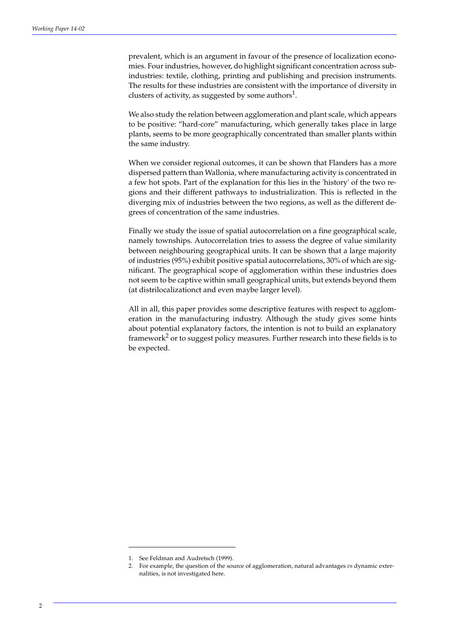prevalent, which is an argument in favour of the presence of localization economies. Four industries, however, do highlight significant concentration across subindustries: textile, clothing, printing and publishing and precision instruments. The results for these industries are consistent with the importance of diversity in clusters of activity, as suggested by some authors<sup>1</sup>.

We also study the relation between agglomeration and plant scale, which appears to be positive: "hard-core" manufacturing, which generally takes place in large plants, seems to be more geographically concentrated than smaller plants within the same industry.

When we consider regional outcomes, it can be shown that Flanders has a more dispersed pattern than Wallonia, where manufacturing activity is concentrated in a few hot spots. Part of the explanation for this lies in the 'history' of the two regions and their different pathways to industrialization. This is reflected in the diverging mix of industries between the two regions, as well as the different degrees of concentration of the same industries.

Finally we study the issue of spatial autocorrelation on a fine geographical scale, namely townships. Autocorrelation tries to assess the degree of value similarity between neighbouring geographical units. It can be shown that a large majority of industries (95%) exhibit positive spatial autocorrelations, 30% of which are significant. The geographical scope of agglomeration within these industries does not seem to be captive within small geographical units, but extends beyond them (at distrilocalizationct and even maybe larger level).

All in all, this paper provides some descriptive features with respect to agglomeration in the manufacturing industry. Although the study gives some hints about potential explanatory factors, the intention is not to build an explanatory framework $^2$  or to suggest policy measures. Further research into these fields is to be expected.

<sup>1.</sup> See Feldman and Audretsch (1999).

<sup>2.</sup> For example, the question of the source of agglomeration, natural advantages *vs* dynamic externalities, is not investigated here.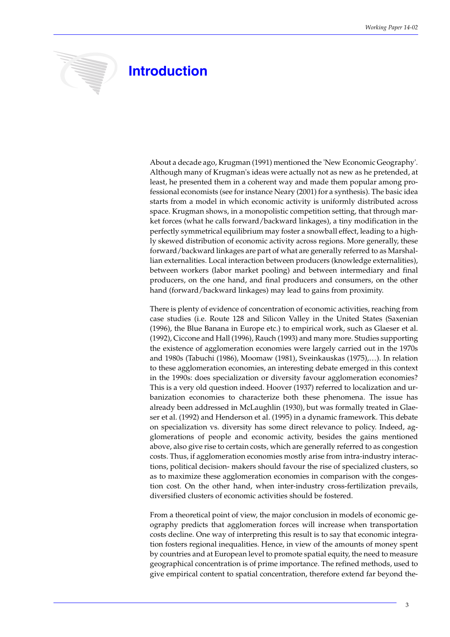

# **Introduction**

About a decade ago, Krugman (1991) mentioned the 'New Economic Geography'. Although many of Krugman's ideas were actually not as new as he pretended, at least, he presented them in a coherent way and made them popular among professional economists (see for instance Neary (2001) for a synthesis). The basic idea starts from a model in which economic activity is uniformly distributed across space. Krugman shows, in a monopolistic competition setting, that through market forces (what he calls forward/backward linkages), a tiny modification in the perfectly symmetrical equilibrium may foster a snowball effect, leading to a highly skewed distribution of economic activity across regions. More generally, these forward/backward linkages are part of what are generally referred to as Marshallian externalities. Local interaction between producers (knowledge externalities), between workers (labor market pooling) and between intermediary and final producers, on the one hand, and final producers and consumers, on the other hand (forward/backward linkages) may lead to gains from proximity.

There is plenty of evidence of concentration of economic activities, reaching from case studies (i.e. Route 128 and Silicon Valley in the United States (Saxenian (1996), the Blue Banana in Europe etc.) to empirical work, such as Glaeser et al. (1992), Ciccone and Hall (1996), Rauch (1993) and many more. Studies supporting the existence of agglomeration economies were largely carried out in the 1970s and 1980s (Tabuchi (1986), Moomaw (1981), Sveinkauskas (1975),…). In relation to these agglomeration economies, an interesting debate emerged in this context in the 1990s: does specialization or diversity favour agglomeration economies? This is a very old question indeed. Hoover (1937) referred to localization and urbanization economies to characterize both these phenomena. The issue has already been addressed in McLaughlin (1930), but was formally treated in Glaeser et al. (1992) and Henderson et al. (1995) in a dynamic framework. This debate on specialization vs. diversity has some direct relevance to policy. Indeed, agglomerations of people and economic activity, besides the gains mentioned above, also give rise to certain costs, which are generally referred to as congestion costs. Thus, if agglomeration economies mostly arise from intra-industry interactions, political decision- makers should favour the rise of specialized clusters, so as to maximize these agglomeration economies in comparison with the congestion cost. On the other hand, when inter-industry cross-fertilization prevails, diversified clusters of economic activities should be fostered.

From a theoretical point of view, the major conclusion in models of economic geography predicts that agglomeration forces will increase when transportation costs decline. One way of interpreting this result is to say that economic integration fosters regional inequalities. Hence, in view of the amounts of money spent by countries and at European level to promote spatial equity, the need to measure geographical concentration is of prime importance. The refined methods, used to give empirical content to spatial concentration, therefore extend far beyond the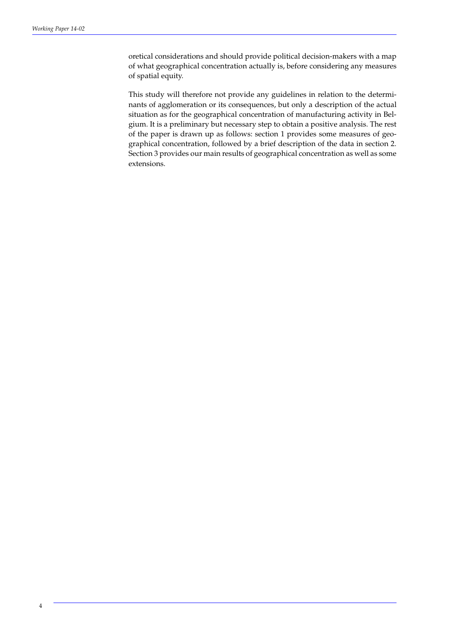oretical considerations and should provide political decision-makers with a map of what geographical concentration actually is, before considering any measures of spatial equity.

This study will therefore not provide any guidelines in relation to the determinants of agglomeration or its consequences, but only a description of the actual situation as for the geographical concentration of manufacturing activity in Belgium. It is a preliminary but necessary step to obtain a positive analysis. The rest of the paper is drawn up as follows: section 1 provides some measures of geographical concentration, followed by a brief description of the data in section 2. Section 3 provides our main results of geographical concentration as well as some extensions.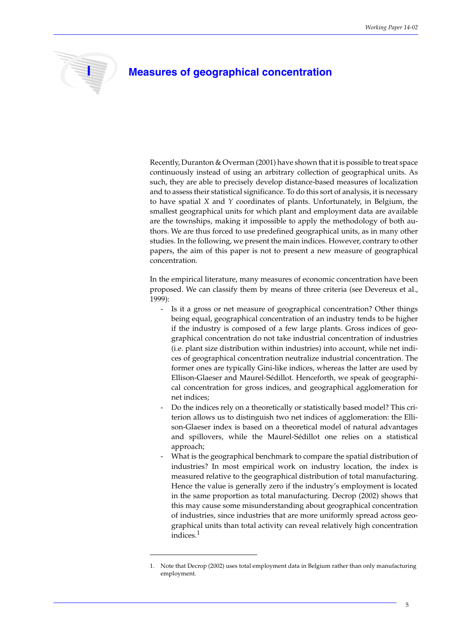

### **I Measures of geographical concentration**

Recently, Duranton & Overman (2001) have shown that it is possible to treat space continuously instead of using an arbitrary collection of geographical units. As such, they are able to precisely develop distance-based measures of localization and to assess their statistical significance. To do this sort of analysis, it is necessary to have spatial *X* and *Y* coordinates of plants. Unfortunately, in Belgium, the smallest geographical units for which plant and employment data are available are the townships, making it impossible to apply the methodology of both authors. We are thus forced to use predefined geographical units, as in many other studies. In the following, we present the main indices. However, contrary to other papers, the aim of this paper is not to present a new measure of geographical concentration.

In the empirical literature, many measures of economic concentration have been proposed. We can classify them by means of three criteria (see Devereux et al., 1999):

- Is it a gross or net measure of geographical concentration? Other things being equal, geographical concentration of an industry tends to be higher if the industry is composed of a few large plants. Gross indices of geographical concentration do not take industrial concentration of industries (i.e. plant size distribution within industries) into account, while net indices of geographical concentration neutralize industrial concentration. The former ones are typically Gini-like indices, whereas the latter are used by Ellison-Glaeser and Maurel-Sédillot. Henceforth, we speak of geographical concentration for gross indices, and geographical agglomeration for net indices;
- Do the indices rely on a theoretically or statistically based model? This criterion allows us to distinguish two net indices of agglomeration: the Ellison-Glaeser index is based on a theoretical model of natural advantages and spillovers, while the Maurel-Sédillot one relies on a statistical approach;
- What is the geographical benchmark to compare the spatial distribution of industries? In most empirical work on industry location, the index is measured relative to the geographical distribution of total manufacturing. Hence the value is generally zero if the industry's employment is located in the same proportion as total manufacturing. Decrop (2002) shows that this may cause some misunderstanding about geographical concentration of industries, since industries that are more uniformly spread across geographical units than total activity can reveal relatively high concentration indices.<sup>1</sup>

<sup>1.</sup> Note that Decrop (2002) uses total employment data in Belgium rather than only manufacturing employment.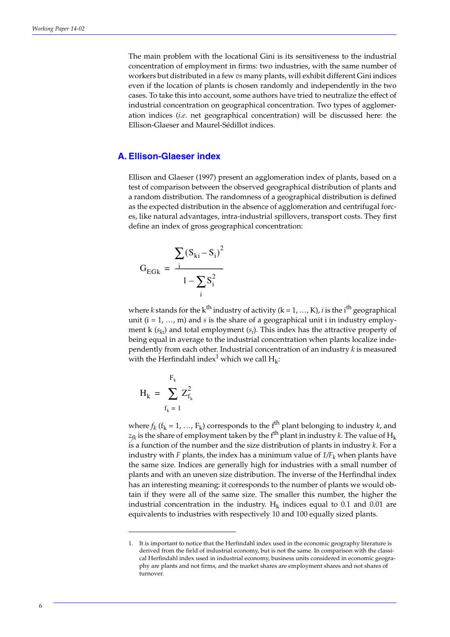The main problem with the locational Gini is its sensitiveness to the industrial concentration of employment in firms: two industries, with the same number of workers but distributed in a few *vs* many plants, will exhibit different Gini indices even if the location of plants is chosen randomly and independently in the two cases. To take this into account, some authors have tried to neutralize the effect of industrial concentration on geographical concentration. Two types of agglomeration indices (*i.e*. net geographical concentration) will be discussed here: the Ellison-Glaeser and Maurel-Sédillot indices.

#### **A. Ellison-Glaeser index**

Ellison and Glaeser (1997) present an agglomeration index of plants, based on a test of comparison between the observed geographical distribution of plants and a random distribution. The randomness of a geographical distribution is defined as the expected distribution in the absence of agglomeration and centrifugal forces, like natural advantages, intra-industrial spillovers, transport costs. They first define an index of gross geographical concentration:

$$
G_{EGk} = \frac{\sum (S_{ki} - S_i)^2}{1 - \sum_i S_i^2}
$$

where *k* stands for the k<sup>th</sup> industry of activity ( $k = 1, ..., K$ ), *i* is the i<sup>th</sup> geographical unit  $(i = 1, ..., m)$  and *s* is the share of a geographical unit i in industry employment k (*ski*) and total employment (*si* ). This index has the attractive property of being equal in average to the industrial concentration when plants localize independently from each other. Industrial concentration of an industry *k* is measured with the Herfindahl index<sup>1</sup> which we call  $H_k$ :

$$
H_k = \sum_{f_k=1}^{F_k} Z_{f_k}^2
$$

where  $f_k$  ( $f_k = 1, ..., F_k$ ) corresponds to the f<sup>th</sup> plant belonging to industry *k*, and  $z_{fk}$  is the share of employment taken by the f<sup>th</sup> plant in industry *k*. The value of H<sub>k</sub> is a function of the number and the size distribution of plants in industry *k*. For a industry with *F* plants, the index has a minimum value of  $1/F_k$  when plants have the same size. Indices are generally high for industries with a small number of plants and with an uneven size distribution. The inverse of the Herfindhal index has an interesting meaning: it corresponds to the number of plants we would obtain if they were all of the same size. The smaller this number, the higher the industrial concentration in the industry.  $H_k$  indices equal to 0.1 and 0.01 are equivalents to industries with respectively 10 and 100 equally sized plants.

<sup>1.</sup> It is important to notice that the Herfindahl index used in the economic geography literature is derived from the field of industrial economy, but is not the same. In comparison with the classical Herfindahl index used in industrial economy, business units considered in economic geography are plants and not firms, and the market shares are employment shares and not shares of turnover.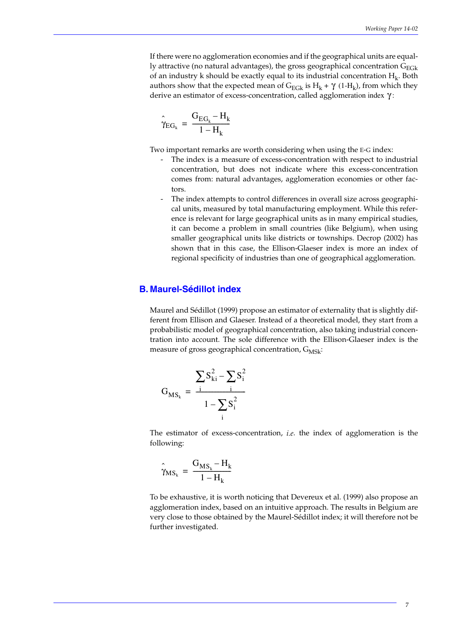If there were no agglomeration economies and if the geographical units are equally attractive (no natural advantages), the gross geographical concentration  $G_{E_G k}$ of an industry k should be exactly equal to its industrial concentration  $H_k$ . Both authors show that the expected mean of  $G_{\text{EGk}}$  is  $H_k + \gamma$  (1- $H_k$ ), from which they derive an estimator of excess-concentration, called agglomeration index γ:

$$
\hat{\gamma}_{EG_k} \, = \, \frac{G_{EG_k} - H_k}{1 - H_k}
$$

Two important remarks are worth considering when using the E-G index:

- The index is a measure of excess-concentration with respect to industrial concentration, but does not indicate where this excess-concentration comes from: natural advantages, agglomeration economies or other factors.
- The index attempts to control differences in overall size across geographical units, measured by total manufacturing employment. While this reference is relevant for large geographical units as in many empirical studies, it can become a problem in small countries (like Belgium), when using smaller geographical units like districts or townships. Decrop (2002) has shown that in this case, the Ellison-Glaeser index is more an index of regional specificity of industries than one of geographical agglomeration.

#### **B. Maurel-Sédillot index**

Maurel and Sédillot (1999) propose an estimator of externality that is slightly different from Ellison and Glaeser. Instead of a theoretical model, they start from a probabilistic model of geographical concentration, also taking industrial concentration into account. The sole difference with the Ellison-Glaeser index is the measure of gross geographical concentration,  $G_{MSE}$ :

$$
G_{MS_k} = \frac{\sum S_{ki}^2 - \sum S_i^2}{1 - \sum_{i} S_i^2}
$$

The estimator of excess-concentration, *i.e*. the index of agglomeration is the following:

$$
\hat{\gamma}_{MS_k} = \frac{G_{MS_k} - H_k}{1 - H_k}
$$

To be exhaustive, it is worth noticing that Devereux et al. (1999) also propose an agglomeration index, based on an intuitive approach. The results in Belgium are very close to those obtained by the Maurel-Sédillot index; it will therefore not be further investigated.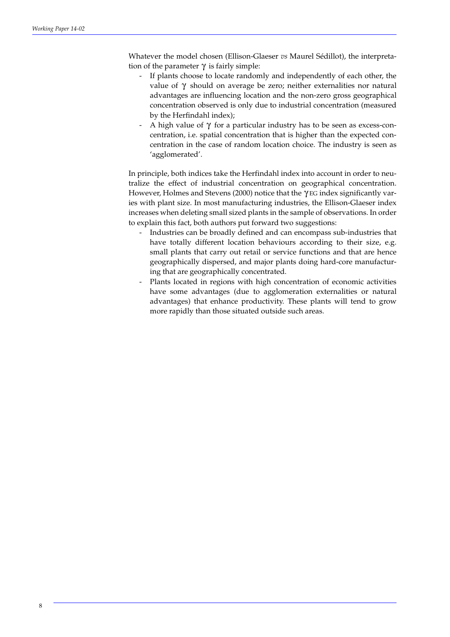Whatever the model chosen (Ellison-Glaeser *vs* Maurel Sédillot), the interpretation of the parameter  $\gamma$  is fairly simple:

- If plants choose to locate randomly and independently of each other, the value of  $\gamma$  should on average be zero; neither externalities nor natural advantages are influencing location and the non-zero gross geographical concentration observed is only due to industrial concentration (measured by the Herfindahl index);
- A high value of  $\gamma$  for a particular industry has to be seen as excess-concentration, i.e. spatial concentration that is higher than the expected concentration in the case of random location choice. The industry is seen as 'agglomerated'.

In principle, both indices take the Herfindahl index into account in order to neutralize the effect of industrial concentration on geographical concentration. However, Holmes and Stevens (2000) notice that the  $\gamma$ EG index significantly varies with plant size. In most manufacturing industries, the Ellison-Glaeser index increases when deleting small sized plants in the sample of observations. In order to explain this fact, both authors put forward two suggestions:

- Industries can be broadly defined and can encompass sub-industries that have totally different location behaviours according to their size, e.g. small plants that carry out retail or service functions and that are hence geographically dispersed, and major plants doing hard-core manufacturing that are geographically concentrated.
- Plants located in regions with high concentration of economic activities have some advantages (due to agglomeration externalities or natural advantages) that enhance productivity. These plants will tend to grow more rapidly than those situated outside such areas.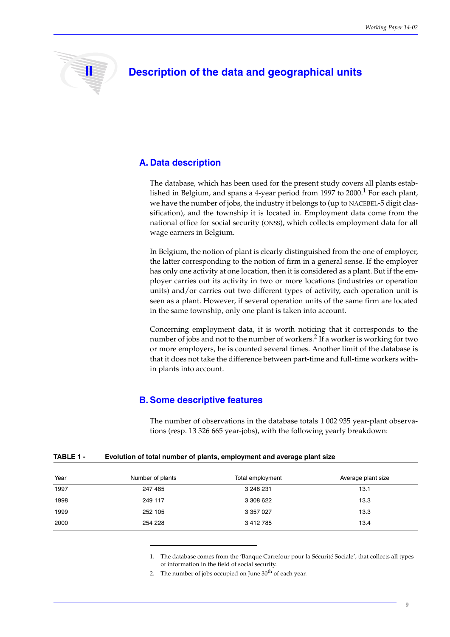

## **II Description of the data and geographical units**

#### **A. Data description**

The database, which has been used for the present study covers all plants established in Belgium, and spans a 4-year period from 1997 to  $2000$ .<sup>1</sup> For each plant, we have the number of jobs, the industry it belongs to (up to NACEBEL-5 digit classification), and the township it is located in. Employment data come from the national office for social security (ONSS), which collects employment data for all wage earners in Belgium.

In Belgium, the notion of plant is clearly distinguished from the one of employer, the latter corresponding to the notion of firm in a general sense. If the employer has only one activity at one location, then it is considered as a plant. But if the employer carries out its activity in two or more locations (industries or operation units) and/or carries out two different types of activity, each operation unit is seen as a plant. However, if several operation units of the same firm are located in the same township, only one plant is taken into account.

Concerning employment data, it is worth noticing that it corresponds to the number of jobs and not to the number of workers.<sup>2</sup> If a worker is working for two or more employers, he is counted several times. Another limit of the database is that it does not take the difference between part-time and full-time workers within plants into account.

#### **B. Some descriptive features**

The number of observations in the database totals 1 002 935 year-plant observations (resp. 13 326 665 year-jobs), with the following yearly breakdown:

| TABLE 1 - | Evolution of total number of plants, employment and average plant size |
|-----------|------------------------------------------------------------------------|
|-----------|------------------------------------------------------------------------|

| Year | Number of plants | Total employment | Average plant size |
|------|------------------|------------------|--------------------|
| 1997 | 247 485          | 3 248 231        | 13.1               |
| 1998 | 249 117          | 3 308 622        | 13.3               |
| 1999 | 252 105          | 3 357 027        | 13.3               |
| 2000 | 254 228          | 3 412 785        | 13.4               |

1. The database comes from the 'Banque Carrefour pour la Sécurité Sociale', that collects all types of information in the field of social security.

2. The number of jobs occupied on June  $30<sup>th</sup>$  of each year.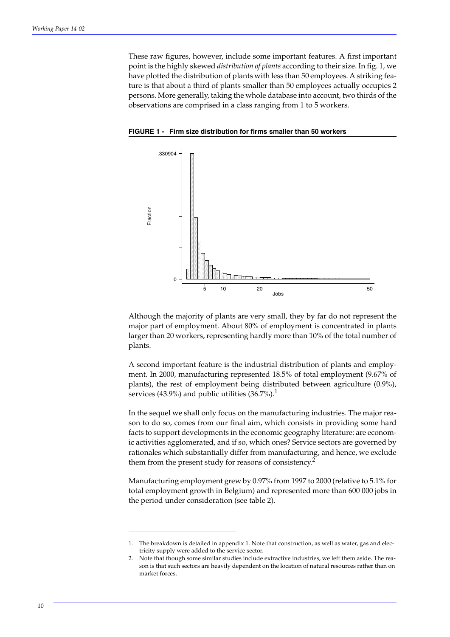These raw figures, however, include some important features. A first important point is the highly skewed *distribution of plants* according to their size. In fig. 1, we have plotted the distribution of plants with less than 50 employees. A striking feature is that about a third of plants smaller than 50 employees actually occupies 2 persons. More generally, taking the whole database into account, two thirds of the observations are comprised in a class ranging from 1 to 5 workers.



**FIGURE 1 - Firm size distribution for firms smaller than 50 workers**

Although the majority of plants are very small, they by far do not represent the major part of employment. About 80% of employment is concentrated in plants larger than 20 workers, representing hardly more than 10% of the total number of plants.

A second important feature is the industrial distribution of plants and employment. In 2000, manufacturing represented 18.5% of total employment (9.67% of plants), the rest of employment being distributed between agriculture (0.9%), services (43.9%) and public utilities  $(36.7\%)$ <sup>1</sup>.

In the sequel we shall only focus on the manufacturing industries. The major reason to do so, comes from our final aim, which consists in providing some hard facts to support developments in the economic geography literature: are economic activities agglomerated, and if so, which ones? Service sectors are governed by rationales which substantially differ from manufacturing, and hence, we exclude them from the present study for reasons of consistency.<sup>2</sup>

Manufacturing employment grew by 0.97% from 1997 to 2000 (relative to 5.1% for total employment growth in Belgium) and represented more than 600 000 jobs in the period under consideration (see table 2).

<sup>1.</sup> The breakdown is detailed in appendix 1. Note that construction, as well as water, gas and electricity supply were added to the service sector.

<sup>2.</sup> Note that though some similar studies include extractive industries, we left them aside. The reason is that such sectors are heavily dependent on the location of natural resources rather than on market forces.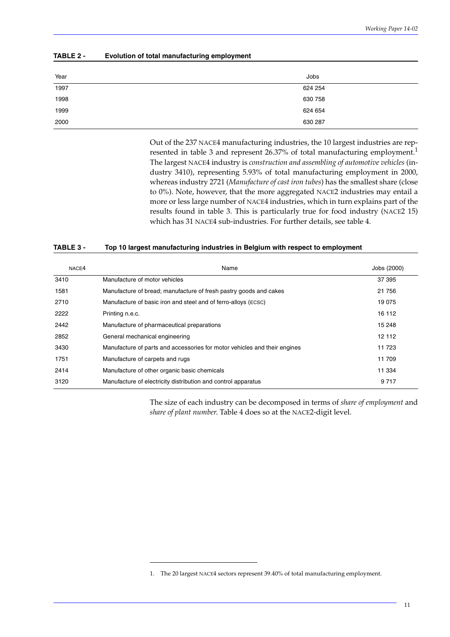#### **TABLE 2 - Evolution of total manufacturing employment**

| Year | Jobs    |
|------|---------|
| 1997 | 624 254 |
| 1998 | 630 758 |
| 1999 | 624 654 |
| 2000 | 630 287 |

Out of the 237 NACE4 manufacturing industries, the 10 largest industries are represented in table 3 and represent 26.37% of total manufacturing employment.<sup>1</sup> The largest NACE4 industry is *construction and assembling of automotive vehicles* (industry 3410), representing 5.93% of total manufacturing employment in 2000, whereas industry 2721 (*Manufacture of cast iron tubes*) has the smallest share (close to 0%). Note, however, that the more aggregated NACE2 industries may entail a more or less large number of NACE4 industries, which in turn explains part of the results found in table 3. This is particularly true for food industry (NACE2 15) which has 31 NACE4 sub-industries. For further details, see table 4.

#### **TABLE 3 - Top 10 largest manufacturing industries in Belgium with respect to employment**

| NACE4 | Name                                                                      | Jobs (2000) |
|-------|---------------------------------------------------------------------------|-------------|
| 3410  | Manufacture of motor vehicles                                             | 37 395      |
| 1581  | Manufacture of bread; manufacture of fresh pastry goods and cakes         | 21 756      |
| 2710  | Manufacture of basic iron and steel and of ferro-alloys (ECSC)            | 19 075      |
| 2222  | Printing n.e.c.                                                           | 16 112      |
| 2442  | Manufacture of pharmaceutical preparations                                | 15 248      |
| 2852  | General mechanical engineering                                            | 12 112      |
| 3430  | Manufacture of parts and accessories for motor vehicles and their engines | 11 723      |
| 1751  | Manufacture of carpets and rugs                                           | 11 709      |
| 2414  | Manufacture of other organic basic chemicals                              | 11 334      |
| 3120  | Manufacture of electricity distribution and control apparatus             | 9 7 1 7     |

The size of each industry can be decomposed in terms of *share of employment* and *share of plant number*. Table 4 does so at the NACE2-digit level.

<sup>1.</sup> The 20 largest NACE4 sectors represent 39.40% of total manufacturing employment.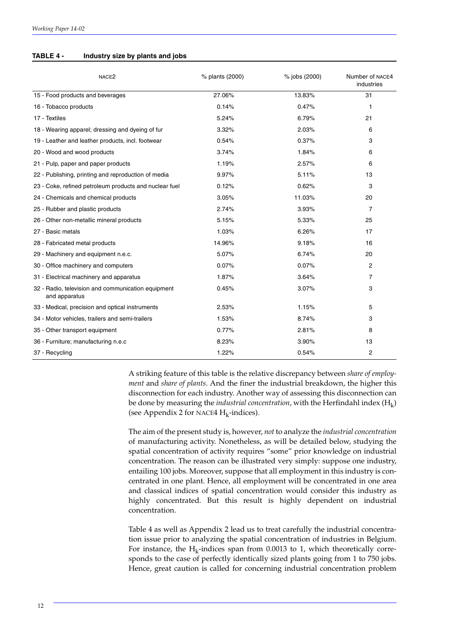#### **TABLE 4 - Industry size by plants and jobs**

| NACE <sub>2</sub>                                                   | % plants (2000) | % jobs (2000) | Number of NACE4<br>industries |
|---------------------------------------------------------------------|-----------------|---------------|-------------------------------|
| 15 - Food products and beverages                                    | 27.06%          | 13.83%        | 31                            |
| 16 - Tobacco products                                               | 0.14%           | 0.47%         | 1                             |
| 17 - Textiles                                                       | 5.24%           | 6.79%         | 21                            |
| 18 - Wearing apparel; dressing and dyeing of fur                    | 3.32%           | 2.03%         | 6                             |
| 19 - Leather and leather products, incl. footwear                   | 0.54%           | 0.37%         | 3                             |
| 20 - Wood and wood products                                         | 3.74%           | 1.84%         | 6                             |
| 21 - Pulp, paper and paper products                                 | 1.19%           | 2.57%         | 6                             |
| 22 - Publishing, printing and reproduction of media                 | 9.97%           | 5.11%         | 13                            |
| 23 - Coke, refined petroleum products and nuclear fuel              | 0.12%           | 0.62%         | 3                             |
| 24 - Chemicals and chemical products                                | 3.05%           | 11.03%        | 20                            |
| 25 - Rubber and plastic products                                    | 2.74%           | 3.93%         | $\overline{7}$                |
| 26 - Other non-metallic mineral products                            | 5.15%           | 5.33%         | 25                            |
| 27 - Basic metals                                                   | 1.03%           | 6.26%         | 17                            |
| 28 - Fabricated metal products                                      | 14.96%          | 9.18%         | 16                            |
| 29 - Machinery and equipment n.e.c.                                 | 5.07%           | 6.74%         | 20                            |
| 30 - Office machinery and computers                                 | 0.07%           | 0.07%         | 2                             |
| 31 - Electrical machinery and apparatus                             | 1.87%           | 3.64%         | $\overline{7}$                |
| 32 - Radio, television and communication equipment<br>and apparatus | 0.45%           | 3.07%         | 3                             |
| 33 - Medical, precision and optical instruments                     | 2.53%           | 1.15%         | 5                             |
| 34 - Motor vehicles, trailers and semi-trailers                     | 1.53%           | 8.74%         | 3                             |
| 35 - Other transport equipment                                      | 0.77%           | 2.81%         | 8                             |
| 36 - Furniture; manufacturing n.e.c                                 | 8.23%           | 3.90%         | 13                            |
| 37 - Recycling                                                      | 1.22%           | 0.54%         | $\overline{2}$                |

A striking feature of this table is the relative discrepancy between *share of employment* and *share of plants*. And the finer the industrial breakdown, the higher this disconnection for each industry. Another way of assessing this disconnection can be done by measuring the *industrial concentration*, with the Herfindahl index  $(H_k)$ (see Appendix 2 for NACE4  $H_k$ -indices).

The aim of the present study is, however, *not* to analyze the *industrial concentration* of manufacturing activity. Nonetheless, as will be detailed below, studying the spatial concentration of activity requires "some" prior knowledge on industrial concentration. The reason can be illustrated very simply: suppose one industry, entailing 100 jobs. Moreover, suppose that all employment in this industry is concentrated in one plant. Hence, all employment will be concentrated in one area and classical indices of spatial concentration would consider this industry as highly concentrated. But this result is highly dependent on industrial concentration.

Table 4 as well as Appendix 2 lead us to treat carefully the industrial concentration issue prior to analyzing the spatial concentration of industries in Belgium. For instance, the  $H_k$ -indices span from 0.0013 to 1, which theoretically corresponds to the case of perfectly identically sized plants going from 1 to 750 jobs. Hence, great caution is called for concerning industrial concentration problem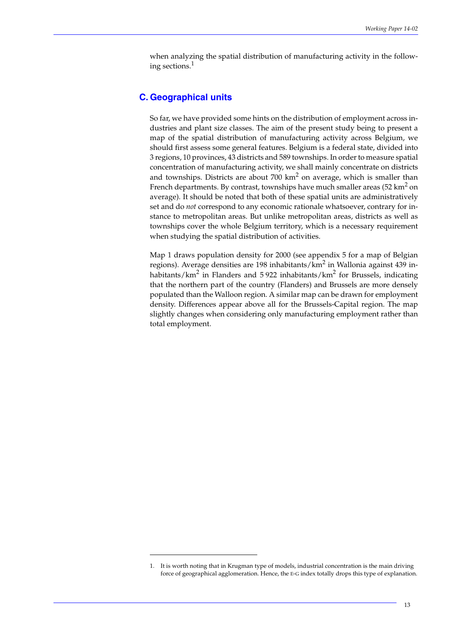when analyzing the spatial distribution of manufacturing activity in the following sections.<sup>1</sup>

#### **C. Geographical units**

So far, we have provided some hints on the distribution of employment across industries and plant size classes. The aim of the present study being to present a map of the spatial distribution of manufacturing activity across Belgium, we should first assess some general features. Belgium is a federal state, divided into 3 regions, 10 provinces, 43 districts and 589 townships. In order to measure spatial concentration of manufacturing activity, we shall mainly concentrate on districts and townships. Districts are about 700  $km^2$  on average, which is smaller than French departments. By contrast, townships have much smaller areas  $(52 \text{ km}^2 \text{ on } 1)$ average). It should be noted that both of these spatial units are administratively set and do *not* correspond to any economic rationale whatsoever, contrary for instance to metropolitan areas. But unlike metropolitan areas, districts as well as townships cover the whole Belgium territory, which is a necessary requirement when studying the spatial distribution of activities.

Map 1 draws population density for 2000 (see appendix 5 for a map of Belgian regions). Average densities are 198 inhabitants/ $km^2$  in Wallonia against 439 inhabitants/km $^2$  in Flanders and 5 922 inhabitants/km $^2$  for Brussels, indicating that the northern part of the country (Flanders) and Brussels are more densely populated than the Walloon region. A similar map can be drawn for employment density. Differences appear above all for the Brussels-Capital region. The map slightly changes when considering only manufacturing employment rather than total employment.

<sup>1.</sup> It is worth noting that in Krugman type of models, industrial concentration is the main driving force of geographical agglomeration. Hence, the E-G index totally drops this type of explanation.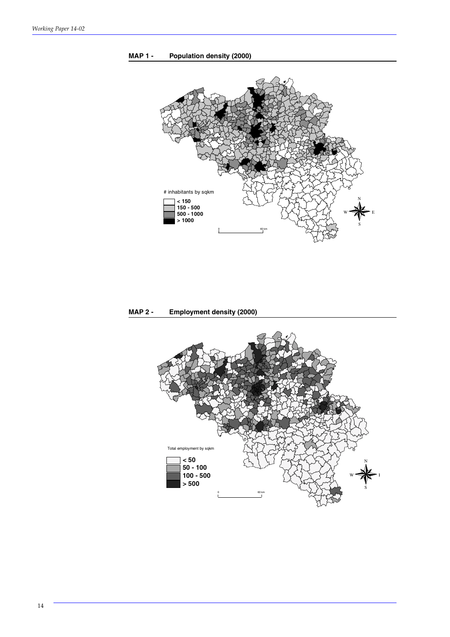



**MAP 2 - Employment density (2000)**

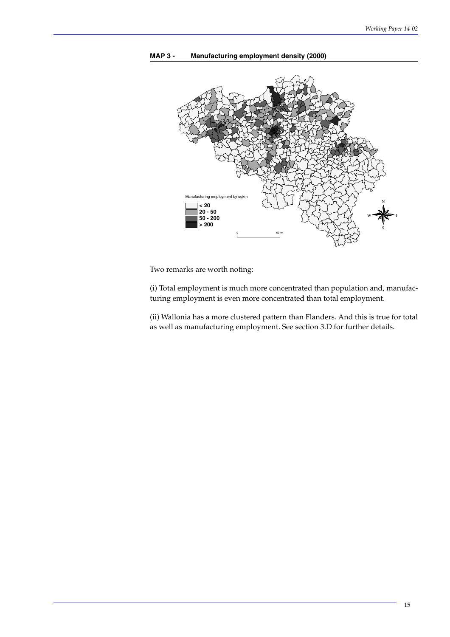

**MAP 3 - Manufacturing employment density (2000)**

Two remarks are worth noting:

(i) Total employment is much more concentrated than population and, manufacturing employment is even more concentrated than total employment.

(ii) Wallonia has a more clustered pattern than Flanders. And this is true for total as well as manufacturing employment. See section 3.D for further details.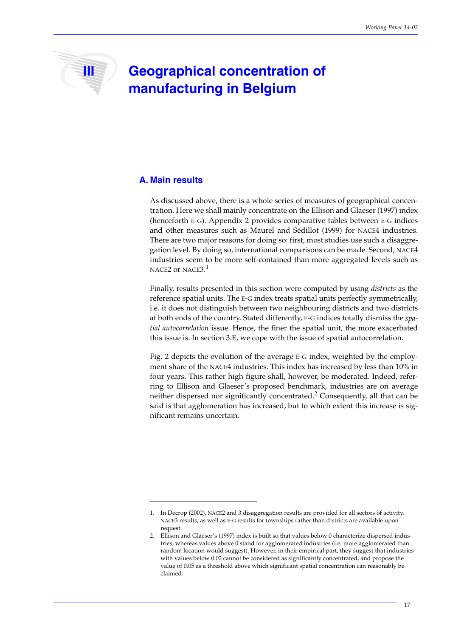# **III Geographical concentration of manufacturing in Belgium**

### **A. Main results**

As discussed above, there is a whole series of measures of geographical concentration. Here we shall mainly concentrate on the Ellison and Glaeser (1997) index (henceforth E-G). Appendix 2 provides comparative tables between E-G indices and other measures such as Maurel and Sédillot (1999) for NACE4 industries. There are two major reasons for doing so: first, most studies use such a disaggregation level. By doing so, international comparisons can be made. Second, NACE4 industries seem to be more self-contained than more aggregated levels such as NACE2 or NACE3. $^1$ 

Finally, results presented in this section were computed by using *districts* as the reference spatial units. The E-G index treats spatial units perfectly symmetrically, i.e. it does not distinguish between two neighbouring districts and two districts at both ends of the country. Stated differently, E-G indices totally dismiss the *spatial autocorrelation* issue. Hence, the finer the spatial unit, the more exacerbated this issue is. In section 3.E, we cope with the issue of spatial autocorrelation.

Fig. 2 depicts the evolution of the average E-G index, weighted by the employment share of the NACE4 industries. This index has increased by less than 10% in four years. This rather high figure shall, however, be moderated. Indeed, referring to Ellison and Glaeser's proposed benchmark, industries are on average neither dispersed nor significantly concentrated.<sup>2</sup> Consequently, all that can be said is that agglomeration has increased, but to which extent this increase is significant remains uncertain.

<sup>1.</sup> In Decrop (2002), NACE2 and 3 disaggregation results are provided for all sectors of activity. NACE3 results, as well as E-G results for townships rather than districts are available upon request.

<sup>2.</sup> Ellison and Glaeser's (1997) index is built so that values below 0 characterize dispersed industries, whereas values above 0 stand for agglomerated industries (i.e. more agglomerated than random location would suggest). However, in their empirical part, they suggest that industries with values below 0.02 cannot be considered as significantly concentrated, and propose the value of 0.05 as a threshold above which significant spatial concentration can reasonably be claimed.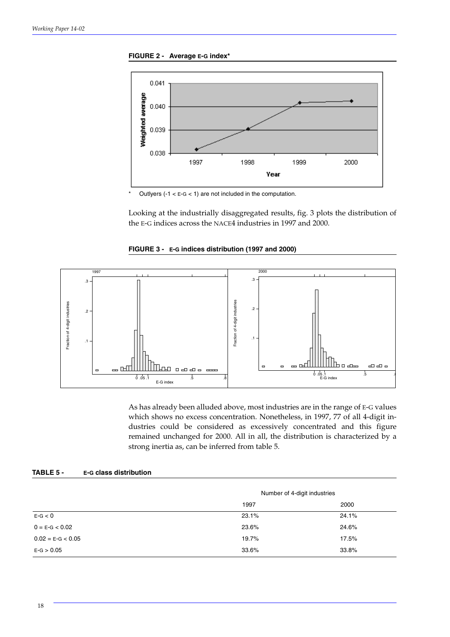



Outlyers (-1 <  $E-G$  < 1) are not included in the computation.

Looking at the industrially disaggregated results, fig. 3 plots the distribution of the E-G indices across the NACE4 industries in 1997 and 2000.





As has already been alluded above, most industries are in the range of E-G values which shows no excess concentration. Nonetheless, in 1997, 77 of all 4-digit industries could be considered as excessively concentrated and this figure remained unchanged for 2000. All in all, the distribution is characterized by a strong inertia as, can be inferred from table 5.

| TABLE 5 - |  | <b>E-G class distribution</b> |
|-----------|--|-------------------------------|
|-----------|--|-------------------------------|

|                     | Number of 4-digit industries |       |
|---------------------|------------------------------|-------|
|                     | 1997                         | 2000  |
| $E-G < 0$           | 23.1%                        | 24.1% |
| $0 = E-G < 0.02$    | 23.6%                        | 24.6% |
| $0.02 = E-G < 0.05$ | 19.7%                        | 17.5% |
| $E-G > 0.05$        | 33.6%                        | 33.8% |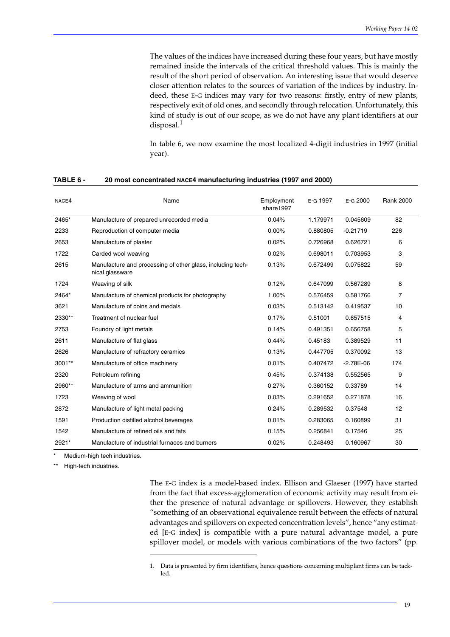The values of the indices have increased during these four years, but have mostly remained inside the intervals of the critical threshold values. This is mainly the result of the short period of observation. An interesting issue that would deserve closer attention relates to the sources of variation of the indices by industry. Indeed, these E-G indices may vary for two reasons: firstly, entry of new plants, respectively exit of old ones, and secondly through relocation. Unfortunately, this kind of study is out of our scope, as we do not have any plant identifiers at our disposal. $<sup>1</sup>$ </sup>

In table 6, we now examine the most localized 4-digit industries in 1997 (initial year).

| NACE4    | Name                                                                          | Employment<br>share1997 | E-G 1997 | E-G 2000      | <b>Rank 2000</b> |
|----------|-------------------------------------------------------------------------------|-------------------------|----------|---------------|------------------|
| 2465*    | Manufacture of prepared unrecorded media                                      | 0.04%                   | 1.179971 | 0.045609      | 82               |
| 2233     | Reproduction of computer media                                                | 0.00%                   | 0.880805 | $-0.21719$    | 226              |
| 2653     | Manufacture of plaster                                                        | 0.02%                   | 0.726968 | 0.626721      | 6                |
| 1722     | Carded wool weaving                                                           | 0.02%                   | 0.698011 | 0.703953      | 3                |
| 2615     | Manufacture and processing of other glass, including tech-<br>nical glassware | 0.13%                   | 0.672499 | 0.075822      | 59               |
| 1724     | Weaving of silk                                                               | 0.12%                   | 0.647099 | 0.567289      | 8                |
| 2464*    | Manufacture of chemical products for photography                              | 1.00%                   | 0.576459 | 0.581766      | 7                |
| 3621     | Manufacture of coins and medals                                               | 0.03%                   | 0.513142 | 0.419537      | 10               |
| 2330**   | Treatment of nuclear fuel                                                     | 0.17%                   | 0.51001  | 0.657515      | 4                |
| 2753     | Foundry of light metals                                                       | 0.14%                   | 0.491351 | 0.656758      | 5                |
| 2611     | Manufacture of flat glass                                                     | 0.44%                   | 0.45183  | 0.389529      | 11               |
| 2626     | Manufacture of refractory ceramics                                            | 0.13%                   | 0.447705 | 0.370092      | 13               |
| $3001**$ | Manufacture of office machinery                                               | 0.01%                   | 0.407472 | $-2.78E - 06$ | 174              |
| 2320     | Petroleum refining                                                            | 0.45%                   | 0.374138 | 0.552565      | 9                |
| 2960**   | Manufacture of arms and ammunition                                            | 0.27%                   | 0.360152 | 0.33789       | 14               |
| 1723     | Weaving of wool                                                               | 0.03%                   | 0.291652 | 0.271878      | 16               |
| 2872     | Manufacture of light metal packing                                            | 0.24%                   | 0.289532 | 0.37548       | 12               |
| 1591     | Production distilled alcohol beverages                                        | 0.01%                   | 0.283065 | 0.160899      | 31               |
| 1542     | Manufacture of refined oils and fats                                          | 0.15%                   | 0.256841 | 0.17546       | 25               |
| 2921*    | Manufacture of industrial furnaces and burners                                | 0.02%                   | 0.248493 | 0.160967      | 30               |

#### **TABLE 6 - 20 most concentrated NACE4 manufacturing industries (1997 and 2000)**

Medium-high tech industries.

High-tech industries.

The E-G index is a model-based index. Ellison and Glaeser (1997) have started from the fact that excess-agglomeration of economic activity may result from either the presence of natural advantage or spillovers. However, they establish "something of an observational equivalence result between the effects of natural advantages and spillovers on expected concentration levels", hence "any estimated [E-G index] is compatible with a pure natural advantage model, a pure spillover model, or models with various combinations of the two factors" (pp.

<sup>1.</sup> Data is presented by firm identifiers, hence questions concerning multiplant firms can be tackled.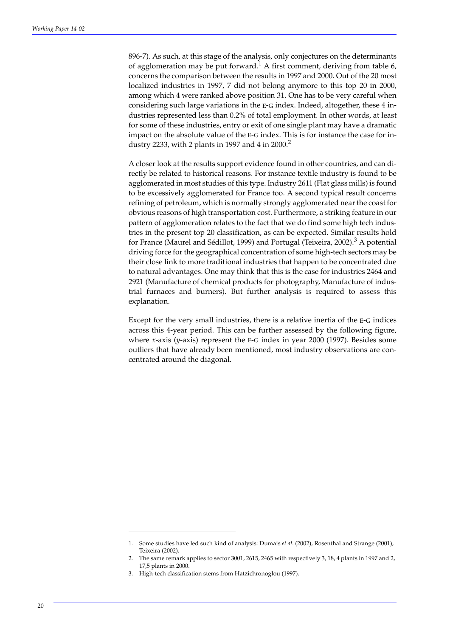896-7). As such, at this stage of the analysis, only conjectures on the determinants of agglomeration may be put forward.<sup>1</sup> A first comment, deriving from table 6, concerns the comparison between the results in 1997 and 2000. Out of the 20 most localized industries in 1997, 7 did not belong anymore to this top 20 in 2000, among which 4 were ranked above position 31. One has to be very careful when considering such large variations in the E-G index. Indeed, altogether, these 4 industries represented less than 0.2% of total employment. In other words, at least for some of these industries, entry or exit of one single plant may have a dramatic impact on the absolute value of the E-G index. This is for instance the case for industry 2233, with 2 plants in 1997 and 4 in 2000.<sup>2</sup>

A closer look at the results support evidence found in other countries, and can directly be related to historical reasons. For instance textile industry is found to be agglomerated in most studies of this type. Industry 2611 (Flat glass mills) is found to be excessively agglomerated for France too. A second typical result concerns refining of petroleum, which is normally strongly agglomerated near the coast for obvious reasons of high transportation cost. Furthermore, a striking feature in our pattern of agglomeration relates to the fact that we do find some high tech industries in the present top 20 classification, as can be expected. Similar results hold for France (Maurel and Sédillot, 1999) and Portugal (Teixeira, 2002).<sup>3</sup> A potential driving force for the geographical concentration of some high-tech sectors may be their close link to more traditional industries that happen to be concentrated due to natural advantages. One may think that this is the case for industries 2464 and 2921 (Manufacture of chemical products for photography, Manufacture of industrial furnaces and burners). But further analysis is required to assess this explanation.

Except for the very small industries, there is a relative inertia of the E-G indices across this 4-year period. This can be further assessed by the following figure, where *x*-axis (*y*-axis) represent the E-G index in year 2000 (1997). Besides some outliers that have already been mentioned, most industry observations are concentrated around the diagonal.

<sup>1.</sup> Some studies have led such kind of analysis: Dumais *et al*. (2002), Rosenthal and Strange (2001), Teixeira (2002).

<sup>2.</sup> The same remark applies to sector 3001, 2615, 2465 with respectively 3, 18, 4 plants in 1997 and 2, 17,5 plants in 2000.

<sup>3.</sup> High-tech classification stems from Hatzichronoglou (1997).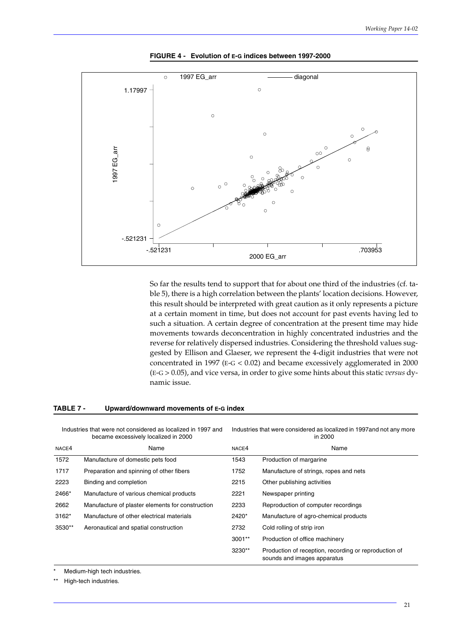

#### **TABLE 7 - Upward/downward movements of E-G index**

|           | 1997 EG_arr                                                                                          | $\circ$<br>$\circ$<br>$\circ$                          | $\circ$        | O<br>$\circlearrowright$<br>$\circ$<br>O                     | 0<br>$\circ$                                                                                                                                                                                                                                                                                                                                                                                                                                                                                                                                                                                                       |
|-----------|------------------------------------------------------------------------------------------------------|--------------------------------------------------------|----------------|--------------------------------------------------------------|--------------------------------------------------------------------------------------------------------------------------------------------------------------------------------------------------------------------------------------------------------------------------------------------------------------------------------------------------------------------------------------------------------------------------------------------------------------------------------------------------------------------------------------------------------------------------------------------------------------------|
|           | -.521231                                                                                             | -.521231                                               |                | 2000 EG arr                                                  | .703953                                                                                                                                                                                                                                                                                                                                                                                                                                                                                                                                                                                                            |
|           |                                                                                                      |                                                        |                |                                                              | So far the results tend to support that for about one third of the industries (cf. ta-<br>ble 5), there is a high correlation between the plants' location decisions. However,<br>this result should be interpreted with great caution as it only represents a picture<br>at a certain moment in time, but does not account for past events having led to<br>such a situation. A certain degree of concentration at the present time may hide<br>movements towards deconcentration in highly concentrated industries and the<br>reverse for relatively dispersed industries. Considering the threshold values sug- |
| TABLE 7 - |                                                                                                      | namic issue.<br>Upward/downward movements of E-G index |                |                                                              | gested by Ellison and Glaeser, we represent the 4-digit industries that were not<br>concentrated in 1997 ( $E-G < 0.02$ ) and became excessively agglomerated in 2000<br>(E-G > 0.05), and vice versa, in order to give some hints about this static versus dy-                                                                                                                                                                                                                                                                                                                                                    |
|           | Industries that were not considered as localized in 1997 and<br>became excessively localized in 2000 |                                                        |                | in 2000                                                      | Industries that were considered as localized in 1997 and not any more                                                                                                                                                                                                                                                                                                                                                                                                                                                                                                                                              |
| NACE4     | Name                                                                                                 |                                                        | NACE4          |                                                              | Name                                                                                                                                                                                                                                                                                                                                                                                                                                                                                                                                                                                                               |
| 1572      | Manufacture of domestic pets food                                                                    |                                                        | 1543           | Production of margarine                                      |                                                                                                                                                                                                                                                                                                                                                                                                                                                                                                                                                                                                                    |
| 1717      | Preparation and spinning of other fibers                                                             |                                                        | 1752           | Manufacture of strings, ropes and nets                       |                                                                                                                                                                                                                                                                                                                                                                                                                                                                                                                                                                                                                    |
| 2223      | Binding and completion                                                                               |                                                        | 2215           | Other publishing activities                                  |                                                                                                                                                                                                                                                                                                                                                                                                                                                                                                                                                                                                                    |
| 2466*     | Manufacture of various chemical products                                                             |                                                        | 2221           | Newspaper printing                                           |                                                                                                                                                                                                                                                                                                                                                                                                                                                                                                                                                                                                                    |
| 2662      | Manufacture of plaster elements for construction                                                     |                                                        | 2233           | Reproduction of computer recordings                          |                                                                                                                                                                                                                                                                                                                                                                                                                                                                                                                                                                                                                    |
| 3162*     | Manufacture of other electrical materials                                                            |                                                        | 2420*          | Manufacture of agro-chemical products                        |                                                                                                                                                                                                                                                                                                                                                                                                                                                                                                                                                                                                                    |
| 3530**    | Aeronautical and spatial construction                                                                |                                                        | 2732<br>3001** | Cold rolling of strip iron<br>Production of office machinery |                                                                                                                                                                                                                                                                                                                                                                                                                                                                                                                                                                                                                    |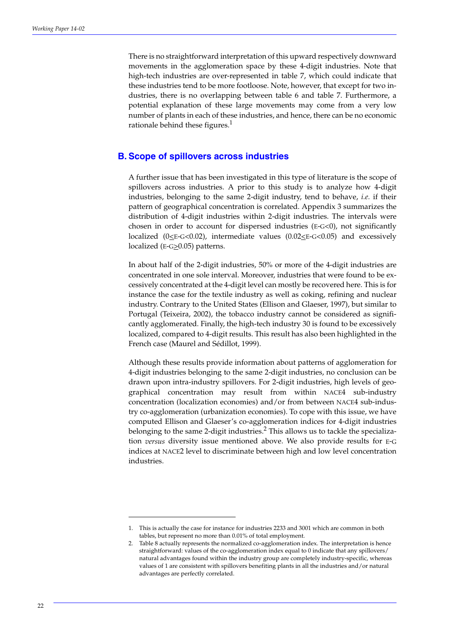There is no straightforward interpretation of this upward respectively downward movements in the agglomeration space by these 4-digit industries. Note that high-tech industries are over-represented in table 7, which could indicate that these industries tend to be more footloose. Note, however, that except for two industries, there is no overlapping between table 6 and table 7. Furthermore, a potential explanation of these large movements may come from a very low number of plants in each of these industries, and hence, there can be no economic rationale behind these figures. $<sup>1</sup>$ </sup>

#### **B. Scope of spillovers across industries**

A further issue that has been investigated in this type of literature is the scope of spillovers across industries. A prior to this study is to analyze how 4-digit industries, belonging to the same 2-digit industry, tend to behave, *i.e.* if their pattern of geographical concentration is correlated. Appendix 3 summarizes the distribution of 4-digit industries within 2-digit industries. The intervals were chosen in order to account for dispersed industries ( $E-G<0$ ), not significantly localized ( $0 \le E$ -G<0.02), intermediate values (0.02 $\le E$ -G<0.05) and excessively localized ( $E-G \geq 0.05$ ) patterns.

In about half of the 2-digit industries, 50% or more of the 4-digit industries are concentrated in one sole interval. Moreover, industries that were found to be excessively concentrated at the 4-digit level can mostly be recovered here. This is for instance the case for the textile industry as well as coking, refining and nuclear industry. Contrary to the United States (Ellison and Glaeser, 1997), but similar to Portugal (Teixeira, 2002), the tobacco industry cannot be considered as significantly agglomerated. Finally, the high-tech industry 30 is found to be excessively localized, compared to 4-digit results. This result has also been highlighted in the French case (Maurel and Sédillot, 1999).

Although these results provide information about patterns of agglomeration for 4-digit industries belonging to the same 2-digit industries, no conclusion can be drawn upon intra-industry spillovers. For 2-digit industries, high levels of geographical concentration may result from within NACE4 sub-industry concentration (localization economies) and/or from between NACE4 sub-industry co-agglomeration (urbanization economies). To cope with this issue, we have computed Ellison and Glaeser's co-agglomeration indices for 4-digit industries belonging to the same 2-digit industries.<sup>2</sup> This allows us to tackle the specialization *versus* diversity issue mentioned above. We also provide results for E-G indices at NACE2 level to discriminate between high and low level concentration industries.

<sup>1.</sup> This is actually the case for instance for industries 2233 and 3001 which are common in both tables, but represent no more than 0.01% of total employment.

<sup>2.</sup> Table 8 actually represents the normalized co-agglomeration index. The interpretation is hence straightforward: values of the co-agglomeration index equal to 0 indicate that any spillovers/ natural advantages found within the industry group are completely industry-specific, whereas values of 1 are consistent with spillovers benefiting plants in all the industries and/or natural advantages are perfectly correlated.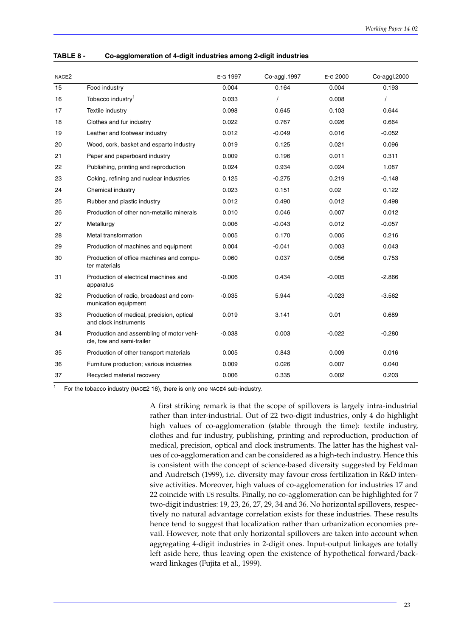| NACE <sub>2</sub> |                                                                       | E-G 1997 | Co-aggl.1997 | E-G 2000 | Co-aggl.2000 |
|-------------------|-----------------------------------------------------------------------|----------|--------------|----------|--------------|
| 15                | Food industry                                                         | 0.004    | 0.164        | 0.004    | 0.193        |
| 16                | Tobacco industry <sup>1</sup>                                         | 0.033    |              | 0.008    |              |
| 17                | Textile industry                                                      | 0.098    | 0.645        | 0.103    | 0.644        |
| 18                | Clothes and fur industry                                              | 0.022    | 0.767        | 0.026    | 0.664        |
| 19                | Leather and footwear industry                                         | 0.012    | $-0.049$     | 0.016    | $-0.052$     |
| 20                | Wood, cork, basket and esparto industry                               | 0.019    | 0.125        | 0.021    | 0.096        |
| 21                | Paper and paperboard industry                                         | 0.009    | 0.196        | 0.011    | 0.311        |
| 22                | Publishing, printing and reproduction                                 | 0.024    | 0.934        | 0.024    | 1.087        |
| 23                | Coking, refining and nuclear industries                               | 0.125    | $-0.275$     | 0.219    | $-0.148$     |
| 24                | Chemical industry                                                     | 0.023    | 0.151        | 0.02     | 0.122        |
| 25                | Rubber and plastic industry                                           | 0.012    | 0.490        | 0.012    | 0.498        |
| 26                | Production of other non-metallic minerals                             | 0.010    | 0.046        | 0.007    | 0.012        |
| 27                | Metallurgy                                                            | 0.006    | $-0.043$     | 0.012    | $-0.057$     |
| 28                | Metal transformation                                                  | 0.005    | 0.170        | 0.005    | 0.216        |
| 29                | Production of machines and equipment                                  | 0.004    | $-0.041$     | 0.003    | 0.043        |
| 30                | Production of office machines and compu-<br>ter materials             | 0.060    | 0.037        | 0.056    | 0.753        |
| 31                | Production of electrical machines and<br>apparatus                    | $-0.006$ | 0.434        | $-0.005$ | $-2.866$     |
| 32                | Production of radio, broadcast and com-<br>munication equipment       | $-0.035$ | 5.944        | $-0.023$ | $-3.562$     |
| 33                | Production of medical, precision, optical<br>and clock instruments    | 0.019    | 3.141        | 0.01     | 0.689        |
| 34                | Production and assembling of motor vehi-<br>cle, tow and semi-trailer | $-0.038$ | 0.003        | $-0.022$ | $-0.280$     |
| 35                | Production of other transport materials                               | 0.005    | 0.843        | 0.009    | 0.016        |
| 36                | Furniture production; various industries                              | 0.009    | 0.026        | 0.007    | 0.040        |
| 37                | Recycled material recovery                                            | 0.006    | 0.335        | 0.002    | 0.203        |

**TABLE 8 - Co-agglomeration of 4-digit industries among 2-digit industries**

For the tobacco industry (NACE2 16), there is only one NACE4 sub-industry.

A first striking remark is that the scope of spillovers is largely intra-industrial rather than inter-industrial. Out of 22 two-digit industries, only 4 do highlight high values of co-agglomeration (stable through the time): textile industry, clothes and fur industry, publishing, printing and reproduction, production of medical, precision, optical and clock instruments. The latter has the highest values of co-agglomeration and can be considered as a high-tech industry. Hence this is consistent with the concept of science-based diversity suggested by Feldman and Audretsch (1999), i.e. diversity may favour cross fertilization in R&D intensive activities. Moreover, high values of co-agglomeration for industries 17 and 22 coincide with US results. Finally, no co-agglomeration can be highlighted for 7 two-digit industries: 19, 23, 26, 27, 29, 34 and 36. No horizontal spillovers, respectively no natural advantage correlation exists for these industries. These results hence tend to suggest that localization rather than urbanization economies prevail. However, note that only horizontal spillovers are taken into account when aggregating 4-digit industries in 2-digit ones. Input-output linkages are totally left aside here, thus leaving open the existence of hypothetical forward/backward linkages (Fujita et al., 1999).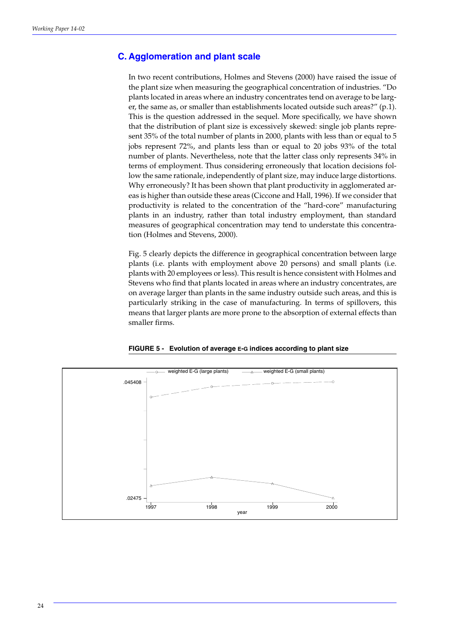### **C. Agglomeration and plant scale**

In two recent contributions, Holmes and Stevens (2000) have raised the issue of the plant size when measuring the geographical concentration of industries. "Do plants located in areas where an industry concentrates tend on average to be larger, the same as, or smaller than establishments located outside such areas?" (p.1). This is the question addressed in the sequel. More specifically, we have shown that the distribution of plant size is excessively skewed: single job plants represent 35% of the total number of plants in 2000, plants with less than or equal to 5 jobs represent 72%, and plants less than or equal to 20 jobs 93% of the total number of plants. Nevertheless, note that the latter class only represents 34% in terms of employment. Thus considering erroneously that location decisions follow the same rationale, independently of plant size, may induce large distortions. Why erroneously? It has been shown that plant productivity in agglomerated areas is higher than outside these areas (Ciccone and Hall, 1996). If we consider that productivity is related to the concentration of the "hard-core" manufacturing plants in an industry, rather than total industry employment, than standard measures of geographical concentration may tend to understate this concentration (Holmes and Stevens, 2000).

Fig. 5 clearly depicts the difference in geographical concentration between large plants (i.e. plants with employment above 20 persons) and small plants (i.e. plants with 20 employees or less). This result is hence consistent with Holmes and Stevens who find that plants located in areas where an industry concentrates, are on average larger than plants in the same industry outside such areas, and this is particularly striking in the case of manufacturing. In terms of spillovers, this means that larger plants are more prone to the absorption of external effects than smaller firms.



#### **FIGURE 5 - Evolution of average E-G indices according to plant size**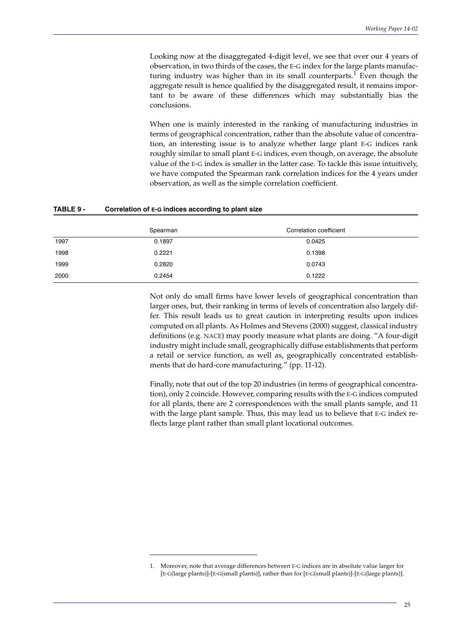Looking now at the disaggregated 4-digit level, we see that over our 4 years of observation, in two thirds of the cases, the E-G index for the large plants manufacturing industry was higher than in its small counterparts. $^1$  Even though the aggregate result is hence qualified by the disaggregated result, it remains important to be aware of these differences which may substantially bias the conclusions.

When one is mainly interested in the ranking of manufacturing industries in terms of geographical concentration, rather than the absolute value of concentration, an interesting issue is to analyze whether large plant E-G indices rank roughly similar to small plant E-G indices, even though, on average, the absolute value of the E-G index is smaller in the latter case. To tackle this issue intuitively, we have computed the Spearman rank correlation indices for the 4 years under observation, as well as the simple correlation coefficient.

#### **TABLE 9 - Correlation of E-G indices according to plant size**

|      | Spearman | Correlation coefficient |
|------|----------|-------------------------|
| 1997 | 0.1897   | 0.0425                  |
| 1998 | 0.2221   | 0.1398                  |
| 1999 | 0.2820   | 0.0743                  |
| 2000 | 0.2454   | 0.1222                  |

Not only do small firms have lower levels of geographical concentration than larger ones, but, their ranking in terms of levels of concentration also largely differ. This result leads us to great caution in interpreting results upon indices computed on all plants. As Holmes and Stevens (2000) suggest, classical industry definitions (e.g. NACE) may poorly measure what plants are doing. "A four-digit industry might include small, geographically diffuse establishments that perform a retail or service function, as well as, geographically concentrated establishments that do hard-core manufacturing." (pp. 11-12).

Finally, note that out of the top 20 industries (in terms of geographical concentration), only 2 coincide. However, comparing results with the E-G indices computed for all plants, there are 2 correspondences with the small plants sample, and 11 with the large plant sample. Thus, this may lead us to believe that E-G index reflects large plant rather than small plant locational outcomes.

<sup>1.</sup> Moreover, note that average differences between E-G indices are in absolute value larger for [E-G(large plants)]-[E-G(small plants)], rather than for [E-G(small plants)]-[E-G(large plants)].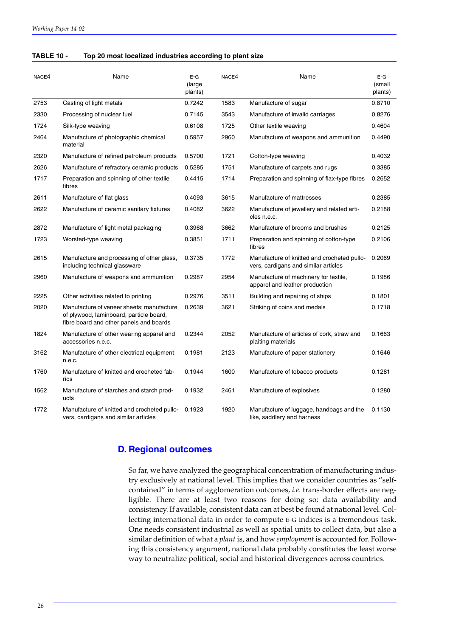| <b>TABLE 10 -</b> | Top 20 most localized industries according to plant size |
|-------------------|----------------------------------------------------------|
|-------------------|----------------------------------------------------------|

| NACE4 | Name                                                                                                                            | $E-G$<br>(large<br>plants) | NACE4 | Name                                                                                | $E-G$<br>(small<br>plants) |
|-------|---------------------------------------------------------------------------------------------------------------------------------|----------------------------|-------|-------------------------------------------------------------------------------------|----------------------------|
| 2753  | Casting of light metals                                                                                                         | 0.7242                     | 1583  | Manufacture of sugar                                                                | 0.8710                     |
| 2330  | Processing of nuclear fuel                                                                                                      | 0.7145                     | 3543  | Manufacture of invalid carriages                                                    | 0.8276                     |
| 1724  | Silk-type weaving                                                                                                               | 0.6108                     | 1725  | Other textile weaving                                                               | 0.4604                     |
| 2464  | Manufacture of photographic chemical<br>material                                                                                | 0.5957                     | 2960  | Manufacture of weapons and ammunition                                               | 0.4490                     |
| 2320  | Manufacture of refined petroleum products                                                                                       | 0.5700                     | 1721  | Cotton-type weaving                                                                 | 0.4032                     |
| 2626  | Manufacture of refractory ceramic products                                                                                      | 0.5285                     | 1751  | Manufacture of carpets and rugs                                                     | 0.3385                     |
| 1717  | Preparation and spinning of other textile<br>fibres                                                                             | 0.4415                     | 1714  | Preparation and spinning of flax-type fibres                                        | 0.2652                     |
| 2611  | Manufacture of flat glass                                                                                                       | 0.4093                     | 3615  | Manufacture of mattresses                                                           | 0.2385                     |
| 2622  | Manufacture of ceramic sanitary fixtures                                                                                        | 0.4082                     | 3622  | Manufacture of jewellery and related arti-<br>cles n.e.c.                           | 0.2188                     |
| 2872  | Manufacture of light metal packaging                                                                                            | 0.3968                     | 3662  | Manufacture of brooms and brushes                                                   | 0.2125                     |
| 1723  | Worsted-type weaving                                                                                                            | 0.3851                     | 1711  | Preparation and spinning of cotton-type<br>fibres                                   | 0.2106                     |
| 2615  | Manufacture and processing of other glass,<br>including technical glassware                                                     | 0.3735                     | 1772  | Manufacture of knitted and crocheted pullo-<br>vers, cardigans and similar articles | 0.2069                     |
| 2960  | Manufacture of weapons and ammunition                                                                                           | 0.2987                     | 2954  | Manufacture of machinery for textile,<br>apparel and leather production             | 0.1986                     |
| 2225  | Other activities related to printing                                                                                            | 0.2976                     | 3511  | Building and repairing of ships                                                     | 0.1801                     |
| 2020  | Manufacture of veneer sheets; manufacture<br>of plywood, laminboard, particle board,<br>fibre board and other panels and boards | 0.2639                     | 3621  | Striking of coins and medals                                                        | 0.1718                     |
| 1824  | Manufacture of other wearing apparel and<br>accessories n.e.c.                                                                  | 0.2344                     | 2052  | Manufacture of articles of cork, straw and<br>plaiting materials                    | 0.1663                     |
| 3162  | Manufacture of other electrical equipment<br>n.e.c.                                                                             | 0.1981                     | 2123  | Manufacture of paper stationery                                                     | 0.1646                     |
| 1760  | Manufacture of knitted and crocheted fab-<br>rics                                                                               | 0.1944                     | 1600  | Manufacture of tobacco products                                                     | 0.1281                     |
| 1562  | Manufacture of starches and starch prod-<br>ucts                                                                                | 0.1932                     | 2461  | Manufacture of explosives                                                           | 0.1280                     |
| 1772  | Manufacture of knitted and crocheted pullo-<br>vers, cardigans and similar articles                                             | 0.1923                     | 1920  | Manufacture of luggage, handbags and the<br>like, saddlery and harness              | 0.1130                     |

#### **D. Regional outcomes**

So far, we have analyzed the geographical concentration of manufacturing industry exclusively at national level. This implies that we consider countries as "selfcontained" in terms of agglomeration outcomes, *i.e.* trans-border effects are negligible. There are at least two reasons for doing so: data availability and consistency. If available, consistent data can at best be found at national level. Collecting international data in order to compute E-G indices is a tremendous task. One needs consistent industrial as well as spatial units to collect data, but also a similar definition of what a *plant* is, and how *employment* is accounted for. Following this consistency argument, national data probably constitutes the least worse way to neutralize political, social and historical divergences across countries.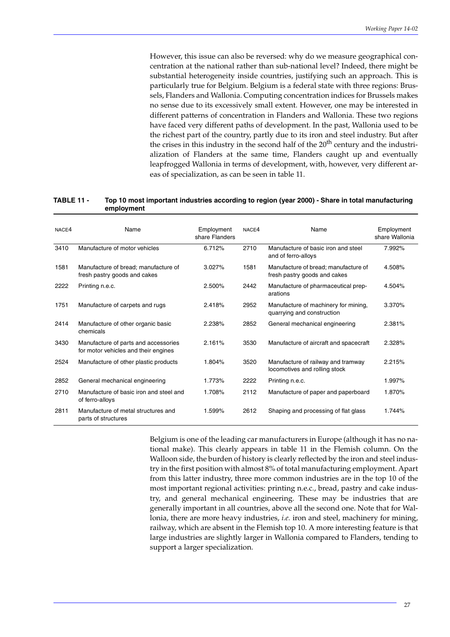However, this issue can also be reversed: why do we measure geographical concentration at the national rather than sub-national level? Indeed, there might be substantial heterogeneity inside countries, justifying such an approach. This is particularly true for Belgium. Belgium is a federal state with three regions: Brussels, Flanders and Wallonia. Computing concentration indices for Brussels makes no sense due to its excessively small extent. However, one may be interested in different patterns of concentration in Flanders and Wallonia. These two regions have faced very different paths of development. In the past, Wallonia used to be the richest part of the country, partly due to its iron and steel industry. But after the crises in this industry in the second half of the 20<sup>th</sup> century and the industrialization of Flanders at the same time, Flanders caught up and eventually leapfrogged Wallonia in terms of development, with, however, very different areas of specialization, as can be seen in table 11.

#### **TABLE 11 - Top 10 most important industries according to region (year 2000) - Share in total manufacturing employment**

| NACE4 | Name                                                                         | Employment<br>share Flanders | NACE4 | Name                                                                 | Employment<br>share Wallonia |
|-------|------------------------------------------------------------------------------|------------------------------|-------|----------------------------------------------------------------------|------------------------------|
| 3410  | Manufacture of motor vehicles                                                | 6.712%                       | 2710  | Manufacture of basic iron and steel<br>and of ferro-alloys           | 7.992%                       |
| 1581  | Manufacture of bread; manufacture of<br>fresh pastry goods and cakes         | 3.027%                       | 1581  | Manufacture of bread; manufacture of<br>fresh pastry goods and cakes | 4.508%                       |
| 2222  | Printing n.e.c.                                                              | 2.500%                       | 2442  | Manufacture of pharmaceutical prep-<br>arations                      | 4.504%                       |
| 1751  | Manufacture of carpets and rugs                                              | 2.418%                       | 2952  | Manufacture of machinery for mining,<br>quarrying and construction   | 3.370%                       |
| 2414  | Manufacture of other organic basic<br>chemicals                              | 2.238%                       | 2852  | General mechanical engineering                                       | 2.381%                       |
| 3430  | Manufacture of parts and accessories<br>for motor vehicles and their engines | 2.161%                       | 3530  | Manufacture of aircraft and spacecraft                               | 2.328%                       |
| 2524  | Manufacture of other plastic products                                        | 1.804%                       | 3520  | Manufacture of railway and tramway<br>locomotives and rolling stock  | 2.215%                       |
| 2852  | General mechanical engineering                                               | 1.773%                       | 2222  | Printing n.e.c.                                                      | 1.997%                       |
| 2710  | Manufacture of basic iron and steel and<br>of ferro-alloys                   | 1.708%                       | 2112  | Manufacture of paper and paperboard                                  | 1.870%                       |
| 2811  | Manufacture of metal structures and<br>parts of structures                   | 1.599%                       | 2612  | Shaping and processing of flat glass                                 | 1.744%                       |

Belgium is one of the leading car manufacturers in Europe (although it has no national make). This clearly appears in table 11 in the Flemish column. On the Walloon side, the burden of history is clearly reflected by the iron and steel industry in the first position with almost 8% of total manufacturing employment. Apart from this latter industry, three more common industries are in the top 10 of the most important regional activities: printing n.e.c., bread, pastry and cake industry, and general mechanical engineering. These may be industries that are generally important in all countries, above all the second one. Note that for Wallonia, there are more heavy industries, *i.e.* iron and steel, machinery for mining, railway, which are absent in the Flemish top 10. A more interesting feature is that large industries are slightly larger in Wallonia compared to Flanders, tending to support a larger specialization.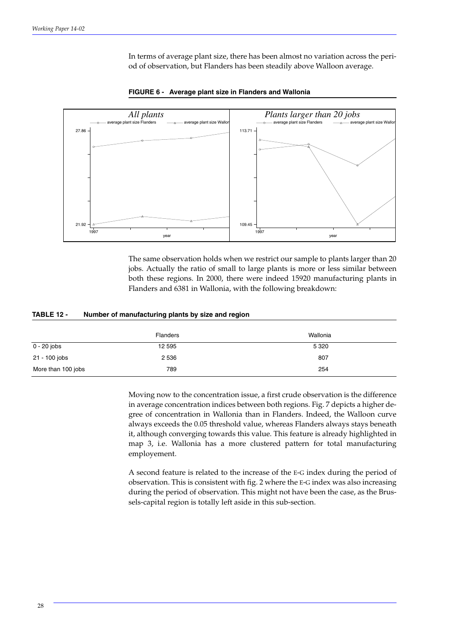In terms of average plant size, there has been almost no variation across the period of observation, but Flanders has been steadily above Walloon average.



**FIGURE 6 - Average plant size in Flanders and Wallonia**

The same observation holds when we restrict our sample to plants larger than 20 jobs. Actually the ratio of small to large plants is more or less similar between both these regions. In 2000, there were indeed 15920 manufacturing plants in Flanders and 6381 in Wallonia, with the following breakdown:

#### **TABLE 12 - Number of manufacturing plants by size and region**

|                    | <b>Flanders</b> | Wallonia |
|--------------------|-----------------|----------|
| 0 - 20 jobs        | 12 595          | 5 3 2 0  |
| 21 - 100 jobs      | 2 5 3 6         | 807      |
| More than 100 jobs | 789             | 254      |

Moving now to the concentration issue, a first crude observation is the difference in average concentration indices between both regions. Fig. 7 depicts a higher degree of concentration in Wallonia than in Flanders. Indeed, the Walloon curve always exceeds the 0.05 threshold value, whereas Flanders always stays beneath it, although converging towards this value. This feature is already highlighted in map 3, i.e. Wallonia has a more clustered pattern for total manufacturing employement.

A second feature is related to the increase of the E-G index during the period of observation. This is consistent with fig. 2 where the E-G index was also increasing during the period of observation. This might not have been the case, as the Brussels-capital region is totally left aside in this sub-section.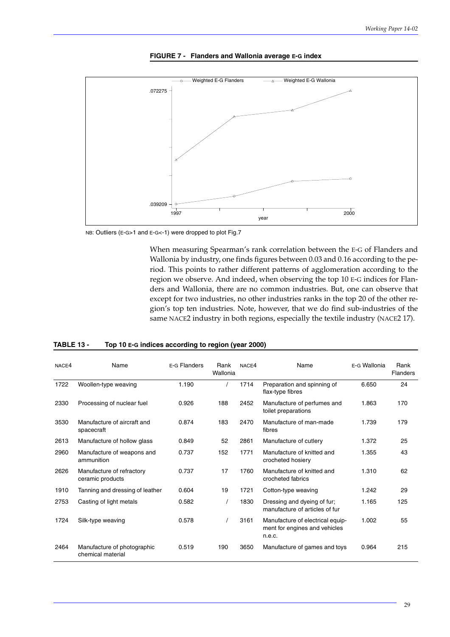

**FIGURE 7 - Flanders and Wallonia average E-G index**

NB: Outliers (E-G>1 and E-G<-1) were dropped to plot Fig.7

When measuring Spearman's rank correlation between the E-G of Flanders and Wallonia by industry, one finds figures between 0.03 and 0.16 according to the period. This points to rather different patterns of agglomeration according to the region we observe. And indeed, when observing the top 10 E-G indices for Flanders and Wallonia, there are no common industries. But, one can observe that except for two industries, no other industries ranks in the top 20 of the other region's top ten industries. Note, however, that we do find sub-industries of the same NACE2 industry in both regions, especially the textile industry (NACE2 17).

| NACE4 | Name                                             | E-G Flanders | Rank<br>Wallonia | NACE4 | Name                                                                        | E-G Wallonia | Rank<br><b>Flanders</b> |
|-------|--------------------------------------------------|--------------|------------------|-------|-----------------------------------------------------------------------------|--------------|-------------------------|
| 1722  | Woollen-type weaving                             | 1.190        |                  | 1714  | Preparation and spinning of<br>flax-type fibres                             | 6.650        | 24                      |
| 2330  | Processing of nuclear fuel                       | 0.926        | 188              | 2452  | Manufacture of perfumes and<br>toilet preparations                          | 1.863        | 170                     |
| 3530  | Manufacture of aircraft and<br>spacecraft        | 0.874        | 183              | 2470  | Manufacture of man-made<br>fibres                                           | 1.739        | 179                     |
| 2613  | Manufacture of hollow glass                      | 0.849        | 52               | 2861  | Manufacture of cutlery                                                      | 1.372        | 25                      |
| 2960  | Manufacture of weapons and<br>ammunition         | 0.737        | 152              | 1771  | Manufacture of knitted and<br>crocheted hosiery                             | 1.355        | 43                      |
| 2626  | Manufacture of refractory<br>ceramic products    | 0.737        | 17               | 1760  | Manufacture of knitted and<br>crocheted fabrics                             | 1.310        | 62                      |
| 1910  | Tanning and dressing of leather                  | 0.604        | 19               | 1721  | Cotton-type weaving                                                         | 1.242        | 29                      |
| 2753  | Casting of light metals                          | 0.582        |                  | 1830  | Dressing and dyeing of fur;<br>manufacture of articles of fur               | 1.165        | 125                     |
| 1724  | Silk-type weaving                                | 0.578        |                  | 3161  | Manufacture of electrical equip-<br>ment for engines and vehicles<br>n.e.c. | 1.002        | 55                      |
| 2464  | Manufacture of photographic<br>chemical material | 0.519        | 190              | 3650  | Manufacture of games and toys                                               | 0.964        | 215                     |

#### **TABLE 13 - Top 10 E-G indices according to region (year 2000)**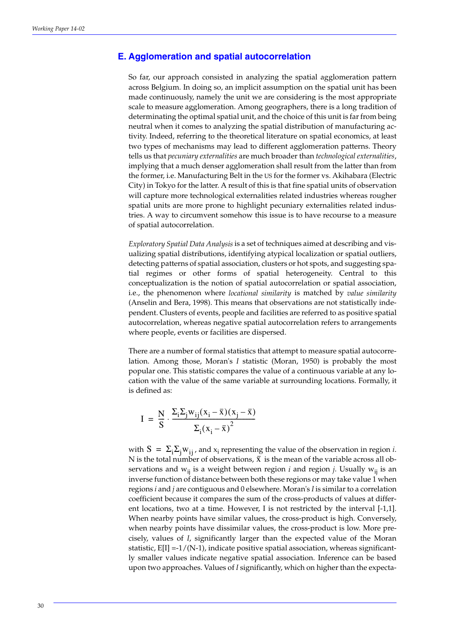#### **E. Agglomeration and spatial autocorrelation**

So far, our approach consisted in analyzing the spatial agglomeration pattern across Belgium. In doing so, an implicit assumption on the spatial unit has been made continuously, namely the unit we are considering is the most appropriate scale to measure agglomeration. Among geographers, there is a long tradition of determinating the optimal spatial unit, and the choice of this unit is far from being neutral when it comes to analyzing the spatial distribution of manufacturing activity. Indeed, referring to the theoretical literature on spatial economics, at least two types of mechanisms may lead to different agglomeration patterns. Theory tells us that *pecuniary externalities* are much broader than *technological externalities*, implying that a much denser agglomeration shall result from the latter than from the former, i.e. Manufacturing Belt in the US for the former vs. Akihabara (Electric City) in Tokyo for the latter. A result of this is that fine spatial units of observation will capture more technological externalities related industries whereas rougher spatial units are more prone to highlight pecuniary externalities related industries. A way to circumvent somehow this issue is to have recourse to a measure of spatial autocorrelation.

*Exploratory Spatial Data Analysis* is a set of techniques aimed at describing and visualizing spatial distributions, identifying atypical localization or spatial outliers, detecting patterns of spatial association, clusters or hot spots, and suggesting spatial regimes or other forms of spatial heterogeneity. Central to this conceptualization is the notion of spatial autocorrelation or spatial association, i.e., the phenomenon where *locational similarity* is matched by *value similarity* (Anselin and Bera, 1998). This means that observations are not statistically independent. Clusters of events, people and facilities are referred to as positive spatial autocorrelation, whereas negative spatial autocorrelation refers to arrangements where people, events or facilities are dispersed.

There are a number of formal statistics that attempt to measure spatial autocorrelation. Among those, Moran's *I* statistic (Moran, 1950) is probably the most popular one. This statistic compares the value of a continuous variable at any location with the value of the same variable at surrounding locations. Formally, it is defined as:

$$
I = \frac{N}{S} \cdot \frac{\Sigma_i \Sigma_j w_{ij} (x_i - \overline{x})(x_j - \overline{x})}{\Sigma_i (x_i - \overline{x})^2}
$$

with  $S = \sum_i \sum_j w_{ij}$ , and  $x_i$  representing the value of the observation in region *i*. N is the total number of observations,  $\bar{x}$  is the mean of the variable across all observations and  $w_{ii}$  is a weight between region *i* and region *j*. Usually  $w_{ii}$  is an inverse function of distance between both these regions or may take value 1 when regions *i* and *j* are contiguous and 0 elsewhere. Moran's *I* is similar to a correlation coefficient because it compares the sum of the cross-products of values at different locations, two at a time. However, I is not restricted by the interval [-1,1]. When nearby points have similar values, the cross-product is high. Conversely, when nearby points have dissimilar values, the cross-product is low. More precisely, values of *I*, significantly larger than the expected value of the Moran statistic,  $E[I] = -1/(N-1)$ , indicate positive spatial association, whereas significantly smaller values indicate negative spatial association. Inference can be based upon two approaches. Values of *I* significantly, which on higher than the expecta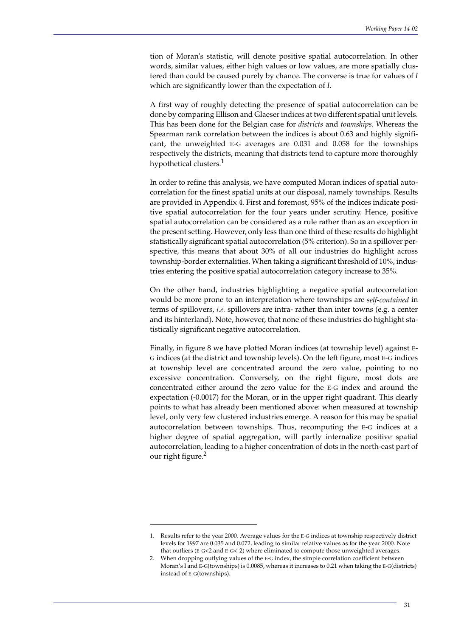tion of Moran's statistic, will denote positive spatial autocorrelation. In other words, similar values, either high values or low values, are more spatially clustered than could be caused purely by chance. The converse is true for values of *I* which are significantly lower than the expectation of *I*.

A first way of roughly detecting the presence of spatial autocorrelation can be done by comparing Ellison and Glaeser indices at two different spatial unit levels. This has been done for the Belgian case for *districts* and *townships*. Whereas the Spearman rank correlation between the indices is about 0.63 and highly significant, the unweighted E-G averages are 0.031 and 0.058 for the townships respectively the districts, meaning that districts tend to capture more thoroughly hypothetical clusters.<sup>1</sup>

In order to refine this analysis, we have computed Moran indices of spatial autocorrelation for the finest spatial units at our disposal, namely townships. Results are provided in Appendix 4. First and foremost, 95% of the indices indicate positive spatial autocorrelation for the four years under scrutiny. Hence, positive spatial autocorrelation can be considered as a rule rather than as an exception in the present setting. However, only less than one third of these results do highlight statistically significant spatial autocorrelation (5% criterion). So in a spillover perspective, this means that about 30% of all our industries do highlight across township-border externalities. When taking a significant threshold of 10%, industries entering the positive spatial autocorrelation category increase to 35%.

On the other hand, industries highlighting a negative spatial autocorrelation would be more prone to an interpretation where townships are *self-contained* in terms of spillovers, *i.e.* spillovers are intra- rather than inter towns (e.g. a center and its hinterland). Note, however, that none of these industries do highlight statistically significant negative autocorrelation.

Finally, in figure 8 we have plotted Moran indices (at township level) against E-G indices (at the district and township levels). On the left figure, most E-G indices at township level are concentrated around the zero value, pointing to no excessive concentration. Conversely, on the right figure, most dots are concentrated either around the zero value for the E-G index and around the expectation (-0.0017) for the Moran, or in the upper right quadrant. This clearly points to what has already been mentioned above: when measured at township level, only very few clustered industries emerge. A reason for this may be spatial autocorrelation between townships. Thus, recomputing the E-G indices at a higher degree of spatial aggregation, will partly internalize positive spatial autocorrelation, leading to a higher concentration of dots in the north-east part of our right figure.<sup>2</sup>

<sup>1.</sup> Results refer to the year 2000. Average values for the E-G indices at township respectively district levels for 1997 are 0.035 and 0.072, leading to similar relative values as for the year 2000. Note that outliers (E-G<2 and E-G<-2) where eliminated to compute those unweighted averages.

<sup>2.</sup> When dropping outlying values of the E-G index, the simple correlation coefficient between Moran's I and E-G(townships) is 0.0085, whereas it increases to 0.21 when taking the E-G(districts) instead of E-G(townships).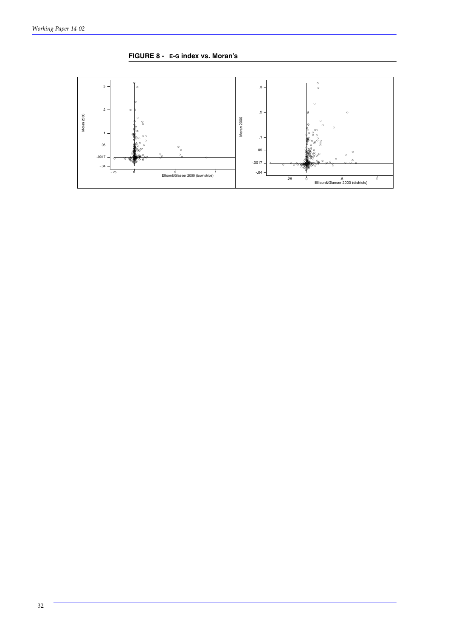

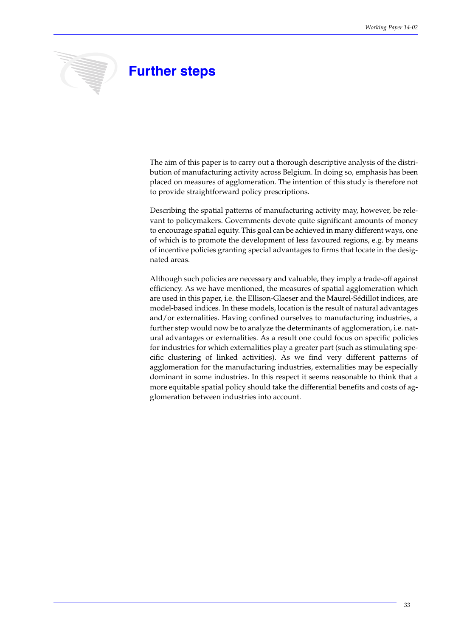

# **Further steps**

The aim of this paper is to carry out a thorough descriptive analysis of the distribution of manufacturing activity across Belgium. In doing so, emphasis has been placed on measures of agglomeration. The intention of this study is therefore not to provide straightforward policy prescriptions.

Describing the spatial patterns of manufacturing activity may, however, be relevant to policymakers. Governments devote quite significant amounts of money to encourage spatial equity. This goal can be achieved in many different ways, one of which is to promote the development of less favoured regions, e.g. by means of incentive policies granting special advantages to firms that locate in the designated areas.

Although such policies are necessary and valuable, they imply a trade-off against efficiency. As we have mentioned, the measures of spatial agglomeration which are used in this paper, i.e. the Ellison-Glaeser and the Maurel-Sédillot indices, are model-based indices. In these models, location is the result of natural advantages and/or externalities. Having confined ourselves to manufacturing industries, a further step would now be to analyze the determinants of agglomeration, i.e. natural advantages or externalities. As a result one could focus on specific policies for industries for which externalities play a greater part (such as stimulating specific clustering of linked activities). As we find very different patterns of agglomeration for the manufacturing industries, externalities may be especially dominant in some industries. In this respect it seems reasonable to think that a more equitable spatial policy should take the differential benefits and costs of agglomeration between industries into account.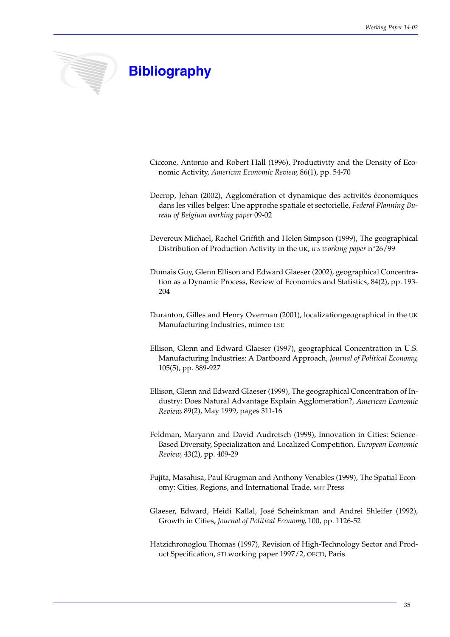

# **Bibliography**

- Ciccone, Antonio and Robert Hall (1996), Productivity and the Density of Economic Activity, *American Economic Review*, 86(1), pp. 54-70
- Decrop, Jehan (2002), Agglomération et dynamique des activités économiques dans les villes belges: Une approche spatiale et sectorielle, *Federal Planning Bureau of Belgium working paper* 09-02
- Devereux Michael, Rachel Griffith and Helen Simpson (1999), The geographical Distribution of Production Activity in the UK, *IFS working paper* n°26/99
- Dumais Guy, Glenn Ellison and Edward Glaeser (2002), geographical Concentration as a Dynamic Process, Review of Economics and Statistics, 84(2), pp. 193- 204
- Duranton, Gilles and Henry Overman (2001), localizationgeographical in the UK Manufacturing Industries, mimeo LSE
- Ellison, Glenn and Edward Glaeser (1997), geographical Concentration in U.S. Manufacturing Industries: A Dartboard Approach, *Journal of Political Economy*, 105(5), pp. 889-927
- Ellison, Glenn and Edward Glaeser (1999), The geographical Concentration of Industry: Does Natural Advantage Explain Agglomeration?, *American Economic Review*, 89(2), May 1999, pages 311-16
- Feldman, Maryann and David Audretsch (1999), Innovation in Cities: Science-Based Diversity, Specialization and Localized Competition, *European Economic Review*, 43(2), pp. 409-29
- Fujita, Masahisa, Paul Krugman and Anthony Venables (1999), The Spatial Economy: Cities, Regions, and International Trade, MIT Press
- Glaeser, Edward, Heidi Kallal, José Scheinkman and Andrei Shleifer (1992), Growth in Cities, *Journal of Political Economy*, 100, pp. 1126-52
- Hatzichronoglou Thomas (1997), Revision of High-Technology Sector and Product Specification, STI working paper 1997/2, OECD, Paris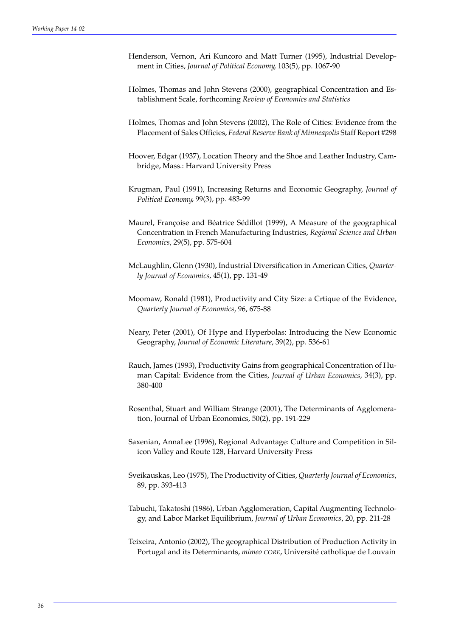- Henderson, Vernon, Ari Kuncoro and Matt Turner (1995), Industrial Development in Cities, *Journal of Political Economy*, 103(5), pp. 1067-90
- Holmes, Thomas and John Stevens (2000), geographical Concentration and Establishment Scale, forthcoming *Review of Economics and Statistics*
- Holmes, Thomas and John Stevens (2002), The Role of Cities: Evidence from the Placement of Sales Officies, *Federal Reserve Bank of Minneapolis* Staff Report #298
- Hoover, Edgar (1937), Location Theory and the Shoe and Leather Industry, Cambridge, Mass.: Harvard University Press
- Krugman, Paul (1991), Increasing Returns and Economic Geography, *Journal of Political Economy*, 99(3), pp. 483-99
- Maurel, Françoise and Béatrice Sédillot (1999), A Measure of the geographical Concentration in French Manufacturing Industries, *Regional Science and Urban Economics*, 29(5), pp. 575-604
- McLaughlin, Glenn (1930), Industrial Diversification in American Cities, *Quarterly Journal of Economics*, 45(1), pp. 131-49
- Moomaw, Ronald (1981), Productivity and City Size: a Crtique of the Evidence, *Quarterly Journal of Economics*, 96, 675-88
- Neary, Peter (2001), Of Hype and Hyperbolas: Introducing the New Economic Geography, *Journal of Economic Literature*, 39(2), pp. 536-61
- Rauch, James (1993), Productivity Gains from geographical Concentration of Human Capital: Evidence from the Cities, *Journal of Urban Economics*, 34(3), pp. 380-400
- Rosenthal, Stuart and William Strange (2001), The Determinants of Agglomeration, Journal of Urban Economics, 50(2), pp. 191-229
- Saxenian, AnnaLee (1996), Regional Advantage: Culture and Competition in Silicon Valley and Route 128, Harvard University Press
- Sveikauskas, Leo (1975), The Productivity of Cities, *Quarterly Journal of Economics*, 89, pp. 393-413
- Tabuchi, Takatoshi (1986), Urban Agglomeration, Capital Augmenting Technology, and Labor Market Equilibrium, *Journal of Urban Economics*, 20, pp. 211-28
- Teixeira, Antonio (2002), The geographical Distribution of Production Activity in Portugal and its Determinants, *mimeo CORE*, Université catholique de Louvain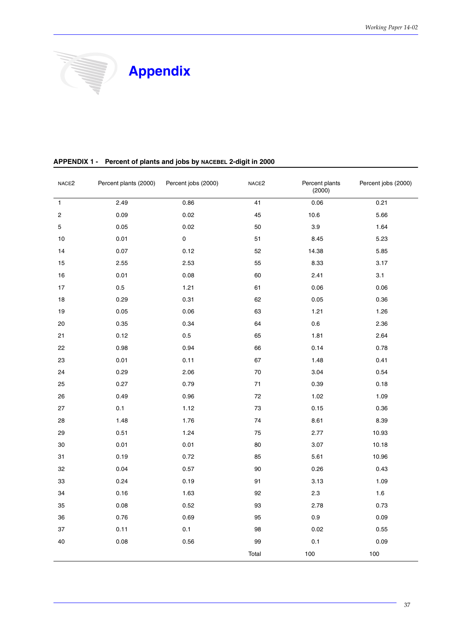

| NACE <sub>2</sub> | Percent plants (2000) | Percent jobs (2000) | NACE <sub>2</sub> | Percent plants<br>(2000) | Percent jobs (2000) |
|-------------------|-----------------------|---------------------|-------------------|--------------------------|---------------------|
| $\mathbf{1}$      | 2.49                  | 0.86                | 41                | 0.06                     | 0.21                |
| 2                 | 0.09                  | 0.02                | 45                | 10.6                     | 5.66                |
| 5                 | 0.05                  | 0.02                | 50                | $3.9\,$                  | 1.64                |
| $10$              | 0.01                  | $\mathsf{O}\xspace$ | 51                | 8.45                     | 5.23                |
| 14                | 0.07                  | 0.12                | 52                | 14.38                    | 5.85                |
| 15                | 2.55                  | 2.53                | 55                | 8.33                     | 3.17                |
| $16\,$            | 0.01                  | 0.08                | 60                | 2.41                     | 3.1                 |
| $17\,$            | $0.5\,$               | 1.21                | 61                | 0.06                     | 0.06                |
| 18                | 0.29                  | 0.31                | 62                | 0.05                     | 0.36                |
| $19$              | $0.05\,$              | 0.06                | 63                | 1.21                     | 1.26                |
| 20                | 0.35                  | 0.34                | 64                | $0.6\,$                  | 2.36                |
| 21                | 0.12                  | 0.5                 | 65                | 1.81                     | 2.64                |
| 22                | 0.98                  | 0.94                | 66                | 0.14                     | 0.78                |
| 23                | 0.01                  | 0.11                | 67                | 1.48                     | 0.41                |
| 24                | 0.29                  | 2.06                | $70\,$            | 3.04                     | 0.54                |
| 25                | 0.27                  | 0.79                | $71$              | 0.39                     | 0.18                |
| 26                | 0.49                  | 0.96                | 72                | 1.02                     | 1.09                |
| 27                | 0.1                   | 1.12                | $73\,$            | 0.15                     | 0.36                |
| 28                | 1.48                  | 1.76                | 74                | 8.61                     | 8.39                |
| 29                | 0.51                  | 1.24                | 75                | 2.77                     | 10.93               |
| $30\,$            | 0.01                  | 0.01                | 80                | 3.07                     | 10.18               |
| 31                | 0.19                  | 0.72                | 85                | 5.61                     | 10.96               |
| 32                | 0.04                  | 0.57                | 90                | 0.26                     | 0.43                |
| 33                | 0.24                  | 0.19                | 91                | 3.13                     | 1.09                |
| 34                | 0.16                  | 1.63                | 92                | $2.3\,$                  | 1.6                 |
| 35                | 0.08                  | 0.52                | 93                | 2.78                     | 0.73                |
| 36                | 0.76                  | 0.69                | 95                | 0.9                      | 0.09                |
| 37                | 0.11                  | 0.1                 | 98                | 0.02                     | 0.55                |
| 40                | 0.08                  | 0.56                | 99                | $0.1\,$                  | 0.09                |
|                   |                       |                     | Total             | 100                      | $100$               |

#### **APPENDIX 1 - Percent of plants and jobs by NACEBEL 2-digit in 2000**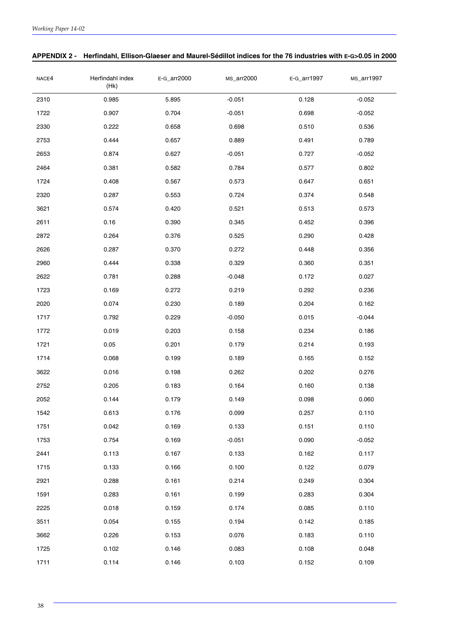| NACE4 | Herfindahl index<br>(Hk) | E-G_arr2000 | MS_arr2000 | E-G_arr1997 | MS_arr1997 |
|-------|--------------------------|-------------|------------|-------------|------------|
| 2310  | 0.985                    | 5.895       | $-0.051$   | 0.128       | $-0.052$   |
| 1722  | 0.907                    | 0.704       | $-0.051$   | 0.698       | $-0.052$   |
| 2330  | 0.222                    | 0.658       | 0.698      | 0.510       | 0.536      |
| 2753  | 0.444                    | 0.657       | 0.889      | 0.491       | 0.789      |
| 2653  | 0.874                    | 0.627       | $-0.051$   | 0.727       | $-0.052$   |
| 2464  | 0.381                    | 0.582       | 0.784      | 0.577       | 0.802      |
| 1724  | 0.408                    | 0.567       | 0.573      | 0.647       | 0.651      |
| 2320  | 0.287                    | 0.553       | 0.724      | 0.374       | 0.548      |
| 3621  | 0.574                    | 0.420       | 0.521      | 0.513       | 0.573      |
| 2611  | 0.16                     | 0.390       | 0.345      | 0.452       | 0.396      |
| 2872  | 0.264                    | 0.376       | 0.525      | 0.290       | 0.428      |
| 2626  | 0.287                    | 0.370       | 0.272      | 0.448       | 0.356      |
| 2960  | 0.444                    | 0.338       | 0.329      | 0.360       | 0.351      |
| 2622  | 0.781                    | 0.288       | $-0.048$   | 0.172       | 0.027      |
| 1723  | 0.169                    | 0.272       | 0.219      | 0.292       | 0.236      |
| 2020  | 0.074                    | 0.230       | 0.189      | 0.204       | 0.162      |
| 1717  | 0.792                    | 0.229       | $-0.050$   | 0.015       | $-0.044$   |
| 1772  | 0.019                    | 0.203       | 0.158      | 0.234       | 0.186      |
| 1721  | 0.05                     | 0.201       | 0.179      | 0.214       | 0.193      |
| 1714  | 0.068                    | 0.199       | 0.189      | 0.165       | 0.152      |
| 3622  | 0.016                    | 0.198       | 0.262      | 0.202       | 0.276      |
| 2752  | 0.205                    | 0.183       | 0.164      | 0.160       | 0.138      |
| 2052  | 0.144                    | 0.179       | 0.149      | 0.098       | 0.060      |
| 1542  | 0.613                    | 0.176       | 0.099      | 0.257       | 0.110      |
| 1751  | 0.042                    | 0.169       | 0.133      | 0.151       | 0.110      |
| 1753  | 0.754                    | 0.169       | $-0.051$   | 0.090       | $-0.052$   |
| 2441  | 0.113                    | 0.167       | 0.133      | 0.162       | 0.117      |
| 1715  | 0.133                    | 0.166       | 0.100      | 0.122       | 0.079      |
| 2921  | 0.288                    | 0.161       | 0.214      | 0.249       | 0.304      |
| 1591  | 0.283                    | 0.161       | 0.199      | 0.283       | 0.304      |
| 2225  | 0.018                    | 0.159       | 0.174      | 0.085       | 0.110      |
| 3511  | 0.054                    | 0.155       | 0.194      | 0.142       | 0.185      |
| 3662  | 0.226                    | 0.153       | 0.076      | 0.183       | 0.110      |
| 1725  | 0.102                    | 0.146       | 0.083      | 0.108       | 0.048      |
| 1711  | 0.114                    | 0.146       | 0.103      | 0.152       | 0.109      |

#### **APPENDIX 2 - Herfindahl, Ellison-Glaeser and Maurel-Sédillot indices for the 76 industries with E-G>0.05 in 2000**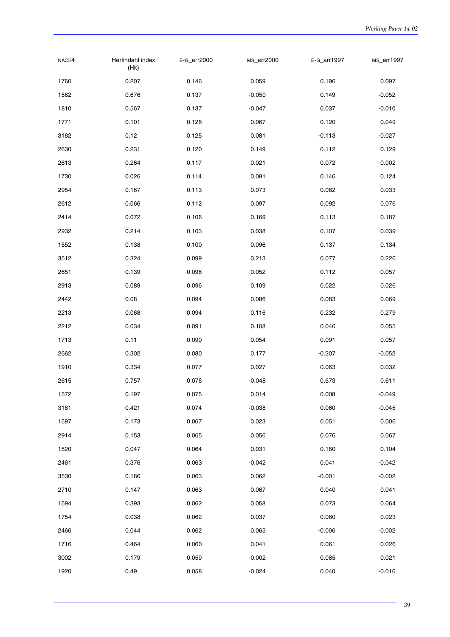| NACE4 | Herfindahl index<br>(Hk) | E-G_arr2000 | MS_arr2000 | E-G_arr1997 | MS_arr1997 |
|-------|--------------------------|-------------|------------|-------------|------------|
| 1760  | 0.207                    | 0.146       | 0.059      | 0.196       | 0.097      |
| 1562  | 0.676                    | 0.137       | $-0.050$   | 0.149       | $-0.052$   |
| 1810  | 0.567                    | 0.137       | $-0.047$   | 0.037       | $-0.010$   |
| 1771  | 0.101                    | 0.126       | 0.067      | 0.120       | 0.049      |
| 3162  | 0.12                     | 0.125       | 0.081      | $-0.113$    | $-0.027$   |
| 2630  | 0.231                    | 0.120       | 0.149      | 0.112       | 0.129      |
| 2613  | 0.264                    | 0.117       | 0.021      | 0.072       | 0.002      |
| 1730  | 0.026                    | 0.114       | 0.091      | 0.146       | 0.124      |
| 2954  | 0.167                    | 0.113       | 0.073      | 0.082       | 0.033      |
| 2612  | 0.066                    | 0.112       | 0.097      | 0.092       | 0.076      |
| 2414  | 0.072                    | 0.106       | 0.169      | 0.113       | 0.187      |
| 2932  | 0.214                    | 0.103       | 0.038      | 0.107       | 0.039      |
| 1552  | 0.138                    | 0.100       | 0.096      | 0.137       | 0.134      |
| 3512  | 0.324                    | 0.099       | 0.213      | 0.077       | 0.226      |
| 2651  | 0.139                    | 0.098       | 0.052      | 0.112       | 0.057      |
| 2913  | 0.089                    | 0.096       | 0.109      | 0.022       | 0.026      |
| 2442  | 0.08                     | 0.094       | 0.086      | 0.083       | 0.069      |
| 2213  | 0.068                    | 0.094       | 0.116      | 0.232       | 0.279      |
| 2212  | 0.034                    | 0.091       | 0.108      | 0.046       | 0.055      |
| 1713  | 0.11                     | 0.090       | 0.054      | 0.091       | 0.057      |
| 2662  | 0.302                    | 0.080       | 0.177      | $-0.207$    | $-0.052$   |
| 1910  | 0.334                    | 0.077       | 0.027      | 0.063       | 0.032      |
| 2615  | 0.757                    | 0.076       | $-0.048$   | 0.673       | 0.611      |
| 1572  | 0.197                    | 0.075       | 0.014      | 0.008       | $-0.049$   |
| 3161  | 0.421                    | 0.074       | $-0.038$   | 0.060       | $-0.045$   |
| 1597  | 0.173                    | 0.067       | 0.023      | 0.051       | 0.006      |
| 2914  | 0.153                    | 0.065       | 0.056      | 0.076       | 0.067      |
| 1520  | 0.047                    | 0.064       | 0.031      | 0.160       | 0.104      |
| 2461  | 0.376                    | 0.063       | $-0.042$   | 0.041       | $-0.042$   |
| 3530  | 0.186                    | 0.063       | 0.062      | $-0.001$    | $-0.002$   |
| 2710  | 0.147                    | 0.063       | 0.067      | 0.040       | 0.041      |
| 1594  | 0.393                    | 0.062       | 0.058      | 0.073       | 0.064      |
| 1754  | 0.038                    | 0.062       | 0.037      | 0.060       | 0.023      |
| 2466  | 0.044                    | 0.062       | 0.065      | $-0.006$    | $-0.002$   |
| 1716  | 0.464                    | 0.060       | 0.041      | 0.061       | 0.026      |
| 3002  | 0.179                    | 0.059       | $-0.002$   | 0.085       | 0.021      |
| 1920  | 0.49                     | 0.058       | $-0.024$   | 0.040       | $-0.016$   |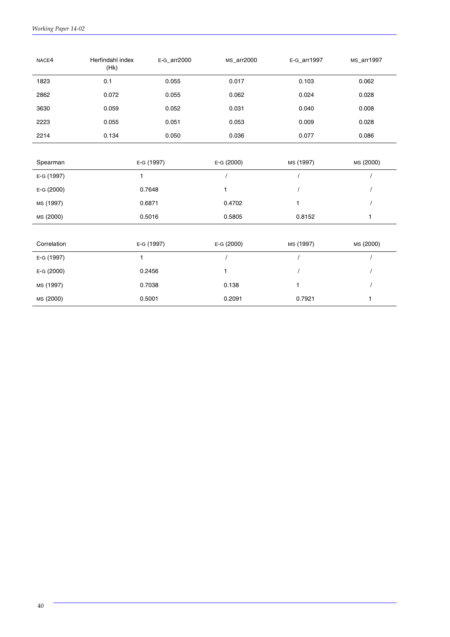| NACE4       | Herfindahl index<br>(Hk) | E-G_arr2000              |            | E-G_arr1997 | MS_arr1997 |
|-------------|--------------------------|--------------------------|------------|-------------|------------|
| 1823        | 0.1                      | 0.055                    | 0.017      | 0.103       | 0.062      |
| 2862        | 0.072                    | 0.055                    | 0.062      | 0.024       | 0.028      |
| 3630        | 0.059                    | 0.052                    | 0.031      | 0.040       | 0.008      |
| 2223        | 0.055                    | 0.051                    | 0.053      | 0.009       | 0.028      |
| 2214        | 0.134                    | 0.050                    | 0.036      | 0.077       | 0.086      |
|             |                          |                          |            |             |            |
| Spearman    |                          | E-G (2000)<br>E-G (1997) |            | MS (1997)   | MS (2000)  |
| E-G (1997)  | 1                        |                          |            |             |            |
| E-G (2000)  |                          | 0.7648                   | 1          |             |            |
| MS (1997)   |                          | 0.6871                   | 0.4702     | 1           |            |
| MS (2000)   |                          | 0.5016                   | 0.5805     | 0.8152      | 1          |
|             |                          |                          |            |             |            |
| Correlation |                          | E-G (1997)               | E-G (2000) | MS (1997)   | MS (2000)  |
| E-G (1997)  | 1                        |                          |            |             |            |
| E-G (2000)  |                          | 0.2456                   |            |             |            |
| MS (1997)   |                          | 0.7038                   | 0.138      | 1           |            |
| MS (2000)   |                          | 0.5001                   |            | 0.7921      | 1          |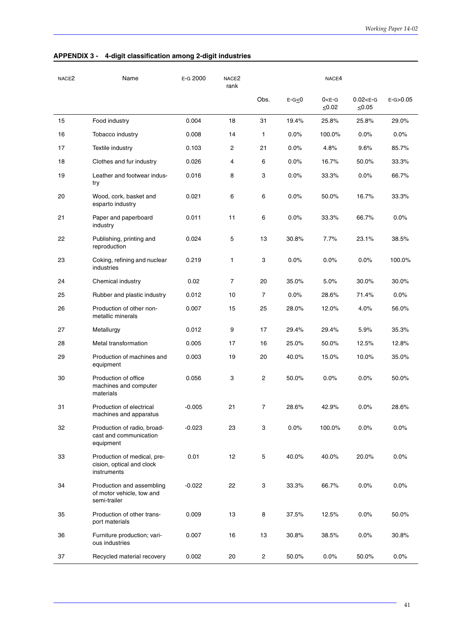| NACE <sub>2</sub> | Name                                                                    | E-G 2000 | NACE <sub>2</sub><br>rank |                |             | NACE4                      |                               |              |
|-------------------|-------------------------------------------------------------------------|----------|---------------------------|----------------|-------------|----------------------------|-------------------------------|--------------|
|                   |                                                                         |          |                           | Obs.           | $E-G \le 0$ | $0 < E - G$<br>$\leq 0.02$ | $0.02 < E - G$<br>$\leq 0.05$ | $E-G > 0.05$ |
| 15                | Food industry                                                           | 0.004    | 18                        | 31             | 19.4%       | 25.8%                      | 25.8%                         | 29.0%        |
| 16                | Tobacco industry                                                        | 0.008    | 14                        | 1              | 0.0%        | 100.0%                     | 0.0%                          | 0.0%         |
| 17                | Textile industry                                                        | 0.103    | 2                         | 21             | 0.0%        | 4.8%                       | 9.6%                          | 85.7%        |
| 18                | Clothes and fur industry                                                | 0.026    | 4                         | 6              | 0.0%        | 16.7%                      | 50.0%                         | 33.3%        |
| 19                | Leather and footwear indus-<br>try                                      | 0.016    | 8                         | 3              | 0.0%        | 33.3%                      | 0.0%                          | 66.7%        |
| 20                | Wood, cork, basket and<br>esparto industry                              | 0.021    | 6                         | 6              | 0.0%        | 50.0%                      | 16.7%                         | 33.3%        |
| 21                | Paper and paperboard<br>industry                                        | 0.011    | 11                        | 6              | 0.0%        | 33.3%                      | 66.7%                         | 0.0%         |
| 22                | Publishing, printing and<br>reproduction                                | 0.024    | 5                         | 13             | 30.8%       | 7.7%                       | 23.1%                         | 38.5%        |
| 23                | Coking, refining and nuclear<br>industries                              | 0.219    | 1                         | 3              | 0.0%        | 0.0%                       | 0.0%                          | 100.0%       |
| 24                | Chemical industry                                                       | 0.02     | $\overline{7}$            | 20             | 35.0%       | 5.0%                       | 30.0%                         | 30.0%        |
| 25                | Rubber and plastic industry                                             | 0.012    | 10                        | 7              | 0.0%        | 28.6%                      | 71.4%                         | 0.0%         |
| 26                | Production of other non-<br>metallic minerals                           | 0.007    | 15                        | 25             | 28.0%       | 12.0%                      | 4.0%                          | 56.0%        |
| 27                | Metallurgy                                                              | 0.012    | 9                         | 17             | 29.4%       | 29.4%                      | 5.9%                          | 35.3%        |
| 28                | Metal transformation                                                    | 0.005    | 17                        | 16             | 25.0%       | 50.0%                      | 12.5%                         | 12.8%        |
| 29                | Production of machines and<br>equipment                                 | 0.003    | 19                        | 20             | 40.0%       | 15.0%                      | 10.0%                         | 35.0%        |
| 30                | Production of office<br>machines and computer<br>materials              | 0.056    | 3                         | 2              | 50.0%       | 0.0%                       | 0.0%                          | 50.0%        |
| 31                | Production of electrical<br>machines and apparatus                      | $-0.005$ | 21                        | 7              | 28.6%       | 42.9%                      | 0.0%                          | 28.6%        |
| 32                | Production of radio, broad-<br>cast and communication<br>equipment      | $-0.023$ | 23                        | 3              | 0.0%        | 100.0%                     | 0.0%                          | 0.0%         |
| 33                | Production of medical, pre-<br>cision, optical and clock<br>instruments | 0.01     | 12                        | 5              | 40.0%       | 40.0%                      | 20.0%                         | 0.0%         |
| 34                | Production and assembling<br>of motor vehicle, tow and<br>semi-trailer  | $-0.022$ | 22                        | 3              | 33.3%       | 66.7%                      | 0.0%                          | 0.0%         |
| 35                | Production of other trans-<br>port materials                            | 0.009    | 13                        | 8              | 37.5%       | 12.5%                      | 0.0%                          | 50.0%        |
| 36                | Furniture production; vari-<br>ous industries                           | 0.007    | 16                        | 13             | 30.8%       | 38.5%                      | 0.0%                          | 30.8%        |
| 37                | Recycled material recovery                                              | 0.002    | 20                        | $\overline{c}$ | 50.0%       | 0.0%                       | 50.0%                         | 0.0%         |

#### **APPENDIX 3 - 4-digit classification among 2-digit industries**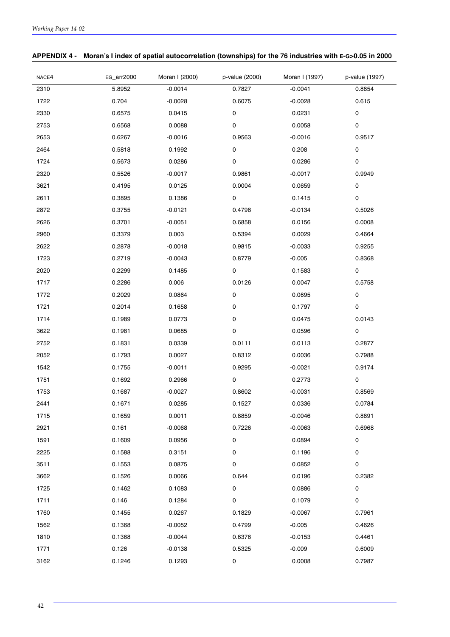| NACE4 | EG_arr2000 | Moran I (2000) | p-value (2000) | Moran I (1997) | p-value (1997) |
|-------|------------|----------------|----------------|----------------|----------------|
| 2310  | 5.8952     | $-0.0014$      | 0.7827         | $-0.0041$      | 0.8854         |
| 1722  | 0.704      | $-0.0028$      | 0.6075         | $-0.0028$      | 0.615          |
| 2330  | 0.6575     | 0.0415         | 0              | 0.0231         | 0              |
| 2753  | 0.6568     | 0.0088         | 0              | 0.0058         | 0              |
| 2653  | 0.6267     | $-0.0016$      | 0.9563         | $-0.0016$      | 0.9517         |
| 2464  | 0.5818     | 0.1992         | 0              | 0.208          | 0              |
| 1724  | 0.5673     | 0.0286         | 0              | 0.0286         | 0              |
| 2320  | 0.5526     | $-0.0017$      | 0.9861         | $-0.0017$      | 0.9949         |
| 3621  | 0.4195     | 0.0125         | 0.0004         | 0.0659         | 0              |
| 2611  | 0.3895     | 0.1386         | $\pmb{0}$      | 0.1415         | 0              |
| 2872  | 0.3755     | $-0.0121$      | 0.4798         | $-0.0134$      | 0.5026         |
| 2626  | 0.3701     | $-0.0051$      | 0.6858         | 0.0156         | 0.0008         |
| 2960  | 0.3379     | 0.003          | 0.5394         | 0.0029         | 0.4664         |
| 2622  | 0.2878     | $-0.0018$      | 0.9815         | $-0.0033$      | 0.9255         |
| 1723  | 0.2719     | $-0.0043$      | 0.8779         | $-0.005$       | 0.8368         |
| 2020  | 0.2299     | 0.1485         | $\pmb{0}$      | 0.1583         | 0              |
| 1717  | 0.2286     | 0.006          | 0.0126         | 0.0047         | 0.5758         |
| 1772  | 0.2029     | 0.0864         | 0              | 0.0695         | 0              |
| 1721  | 0.2014     | 0.1658         | 0              | 0.1797         | 0              |
| 1714  | 0.1989     | 0.0773         | 0              | 0.0475         | 0.0143         |
| 3622  | 0.1981     | 0.0685         | $\pmb{0}$      | 0.0596         | 0              |
| 2752  | 0.1831     | 0.0339         | 0.0111         | 0.0113         | 0.2877         |
| 2052  | 0.1793     | 0.0027         | 0.8312         | 0.0036         | 0.7988         |
| 1542  | 0.1755     | $-0.0011$      | 0.9295         | $-0.0021$      | 0.9174         |
| 1751  | 0.1692     | 0.2966         | 0              | 0.2773         | 0              |
| 1753  | 0.1687     | $-0.0027$      | 0.8602         | $-0.0031$      | 0.8569         |
| 2441  | 0.1671     | 0.0285         | 0.1527         | 0.0336         | 0.0784         |
| 1715  | 0.1659     | 0.0011         | 0.8859         | $-0.0046$      | 0.8891         |
| 2921  | 0.161      | $-0.0068$      | 0.7226         | $-0.0063$      | 0.6968         |
| 1591  | 0.1609     | 0.0956         | 0              | 0.0894         | 0              |
| 2225  | 0.1588     | 0.3151         | 0              | 0.1196         | 0              |
| 3511  | 0.1553     | 0.0875         | 0              | 0.0852         | 0              |
| 3662  | 0.1526     | 0.0066         | 0.644          | 0.0196         | 0.2382         |
| 1725  | 0.1462     | 0.1083         | 0              | 0.0886         | 0              |
| 1711  | 0.146      | 0.1284         | 0              | 0.1079         | 0              |
| 1760  | 0.1455     | 0.0267         | 0.1829         | $-0.0067$      | 0.7961         |
| 1562  | 0.1368     | $-0.0052$      | 0.4799         | $-0.005$       | 0.4626         |
| 1810  | 0.1368     | $-0.0044$      | 0.6376         | $-0.0153$      | 0.4461         |
| 1771  | 0.126      | $-0.0138$      | 0.5325         | $-0.009$       | 0.6009         |
| 3162  | 0.1246     | 0.1293         | 0              | 0.0008         | 0.7987         |

#### **APPENDIX 4 - Moran's I index of spatial autocorrelation (townships) for the 76 industries with E-G>0.05 in 2000**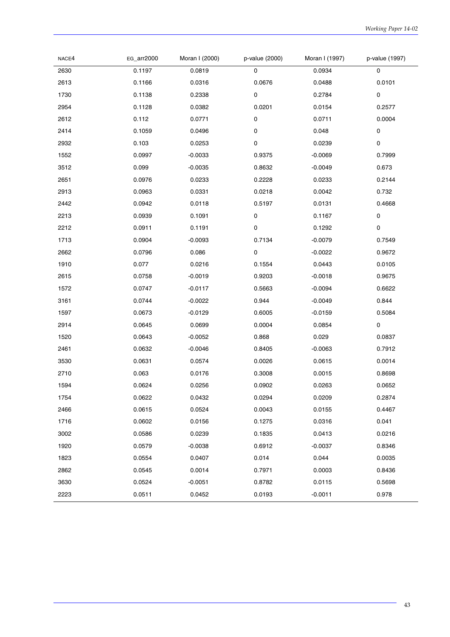| NACE4 | EG_arr2000 | Moran I (2000) | p-value (2000) | Moran I (1997) | p-value (1997) |
|-------|------------|----------------|----------------|----------------|----------------|
| 2630  | 0.1197     | 0.0819         | 0              | 0.0934         | 0              |
| 2613  | 0.1166     | 0.0316         | 0.0676         | 0.0488         | 0.0101         |
| 1730  | 0.1138     | 0.2338         | 0              | 0.2784         | 0              |
| 2954  | 0.1128     | 0.0382         | 0.0201         | 0.0154         | 0.2577         |
| 2612  | 0.112      | 0.0771         | $\pmb{0}$      | 0.0711         | 0.0004         |
| 2414  | 0.1059     | 0.0496         | 0              | 0.048          | $\pmb{0}$      |
| 2932  | 0.103      | 0.0253         | 0              | 0.0239         | 0              |
| 1552  | 0.0997     | $-0.0033$      | 0.9375         | $-0.0069$      | 0.7999         |
| 3512  | 0.099      | $-0.0035$      | 0.8632         | $-0.0049$      | 0.673          |
| 2651  | 0.0976     | 0.0233         | 0.2228         | 0.0233         | 0.2144         |
| 2913  | 0.0963     | 0.0331         | 0.0218         | 0.0042         | 0.732          |
| 2442  | 0.0942     | 0.0118         | 0.5197         | 0.0131         | 0.4668         |
| 2213  | 0.0939     | 0.1091         | 0              | 0.1167         | 0              |
| 2212  | 0.0911     | 0.1191         | $\pmb{0}$      | 0.1292         | $\pmb{0}$      |
| 1713  | 0.0904     | $-0.0093$      | 0.7134         | $-0.0079$      | 0.7549         |
| 2662  | 0.0796     | 0.086          | 0              | $-0.0022$      | 0.9672         |
| 1910  | 0.077      | 0.0216         | 0.1554         | 0.0443         | 0.0105         |
| 2615  | 0.0758     | $-0.0019$      | 0.9203         | $-0.0018$      | 0.9675         |
| 1572  | 0.0747     | $-0.0117$      | 0.5663         | $-0.0094$      | 0.6622         |
| 3161  | 0.0744     | $-0.0022$      | 0.944          | $-0.0049$      | 0.844          |
| 1597  | 0.0673     | $-0.0129$      | 0.6005         | $-0.0159$      | 0.5084         |
| 2914  | 0.0645     | 0.0699         | 0.0004         | 0.0854         | 0              |
| 1520  | 0.0643     | $-0.0052$      | 0.868          | 0.029          | 0.0837         |
| 2461  | 0.0632     | $-0.0046$      | 0.8405         | $-0.0063$      | 0.7912         |
| 3530  | 0.0631     | 0.0574         | 0.0026         | 0.0615         | 0.0014         |
| 2710  | 0.063      | 0.0176         | 0.3008         | 0.0015         | 0.8698         |
| 1594  | 0.0624     | 0.0256         | 0.0902         | 0.0263         | 0.0652         |
| 1754  | 0.0622     | 0.0432         | 0.0294         | 0.0209         | 0.2874         |
| 2466  | 0.0615     | 0.0524         | 0.0043         | 0.0155         | 0.4467         |
| 1716  | 0.0602     | 0.0156         | 0.1275         | 0.0316         | 0.041          |
| 3002  | 0.0586     | 0.0239         | 0.1835         | 0.0413         | 0.0216         |
| 1920  | 0.0579     | $-0.0038$      | 0.6912         | $-0.0037$      | 0.8346         |
| 1823  | 0.0554     | 0.0407         | 0.014          | 0.044          | 0.0035         |
| 2862  | 0.0545     | 0.0014         | 0.7971         | 0.0003         | 0.8436         |
| 3630  | 0.0524     | $-0.0051$      | 0.8782         | 0.0115         | 0.5698         |
| 2223  | 0.0511     | 0.0452         | 0.0193         | $-0.0011$      | 0.978          |